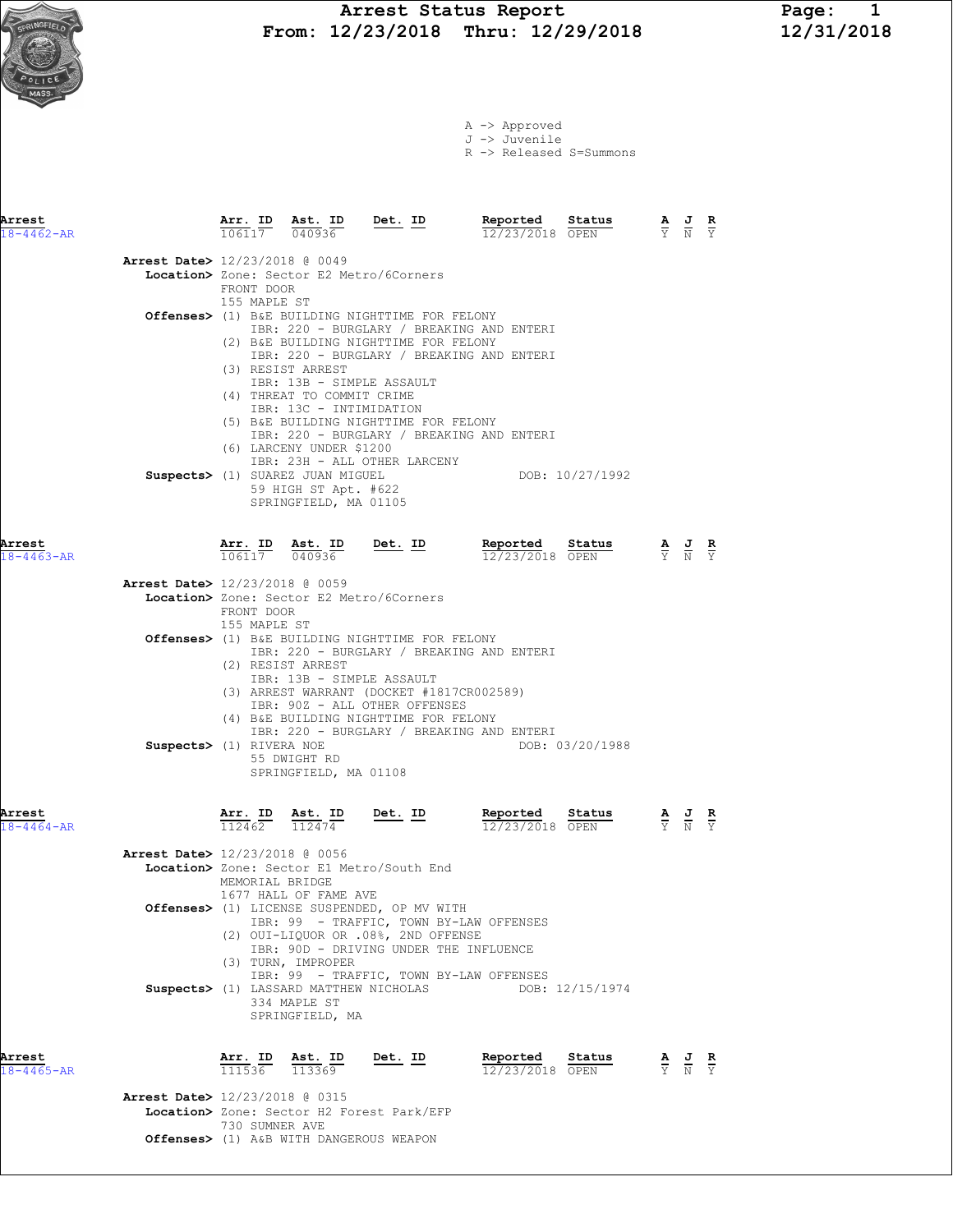|             | Arrest Status Report                  | Page:      |
|-------------|---------------------------------------|------------|
| SPRINGFIELD | From: $12/23/2018$ Thru: $12/29/2018$ | 12/31/2018 |

|  | A -> Approved             |  |
|--|---------------------------|--|
|  | J -> Juvenile             |  |
|  | $D \sim D$ alangad C-Cumm |  |

| Arrest<br>$18 - 4462 - AR$ |                                          | 106117 040936                           | Arr. ID Ast. ID Det. ID                                                                                       |                                                                                                                                                                        | Reported<br>12/23/2018 OPEN                                                                                                         | Status          | AJR<br>$\overline{Y}$ N                   |                                                                 | $\overline{Y}$ |
|----------------------------|------------------------------------------|-----------------------------------------|---------------------------------------------------------------------------------------------------------------|------------------------------------------------------------------------------------------------------------------------------------------------------------------------|-------------------------------------------------------------------------------------------------------------------------------------|-----------------|-------------------------------------------|-----------------------------------------------------------------|----------------|
|                            | <b>Arrest Date&gt;</b> 12/23/2018 @ 0049 | FRONT DOOR<br>155 MAPLE ST              |                                                                                                               | Location> Zone: Sector E2 Metro/6Corners                                                                                                                               |                                                                                                                                     |                 |                                           |                                                                 |                |
|                            |                                          |                                         | (3) RESIST ARREST<br>IBR: 13B - SIMPLE ASSAULT<br>(4) THREAT TO COMMIT CRIME<br>IBR: 13C - INTIMIDATION       | Offenses> (1) B&E BUILDING NIGHTTIME FOR FELONY<br>(2) B&E BUILDING NIGHTTIME FOR FELONY<br>(5) B&E BUILDING NIGHTTIME FOR FELONY                                      | IBR: 220 - BURGLARY / BREAKING AND ENTERI<br>IBR: 220 - BURGLARY / BREAKING AND ENTERI<br>IBR: 220 - BURGLARY / BREAKING AND ENTERI |                 |                                           |                                                                 |                |
|                            |                                          |                                         | (6) LARCENY UNDER \$1200<br>Suspects> (1) SUAREZ JUAN MIGUEL<br>59 HIGH ST Apt. #622<br>SPRINGFIELD, MA 01105 | IBR: 23H - ALL OTHER LARCENY                                                                                                                                           |                                                                                                                                     | DOB: 10/27/1992 |                                           |                                                                 |                |
| Arrest<br>$18 - 4463 - AR$ |                                          | $\overline{106117}$ $\overline{040936}$ | Arr. ID Ast. ID                                                                                               | $Det. ID$                                                                                                                                                              | Reported<br>12/23/2018 OPEN                                                                                                         | Status          |                                           | $\frac{\mathbf{A}}{\mathbf{Y}}$ $\frac{\mathbf{J}}{\mathbf{N}}$ | $\frac{R}{Y}$  |
|                            | <b>Arrest Date&gt;</b> 12/23/2018 @ 0059 | FRONT DOOR<br>155 MAPLE ST              |                                                                                                               | Location> Zone: Sector E2 Metro/6Corners                                                                                                                               |                                                                                                                                     |                 |                                           |                                                                 |                |
|                            |                                          |                                         | (2) RESIST ARREST<br>IBR: 13B - SIMPLE ASSAULT                                                                | Offenses> (1) B&E BUILDING NIGHTTIME FOR FELONY<br>(3) ARREST WARRANT (DOCKET #1817CR002589)<br>IBR: 90Z - ALL OTHER OFFENSES<br>(4) B&E BUILDING NIGHTTIME FOR FELONY | IBR: 220 - BURGLARY / BREAKING AND ENTERI<br>IBR: 220 - BURGLARY / BREAKING AND ENTERI                                              |                 |                                           |                                                                 |                |
|                            | Suspects> (1) RIVERA NOE                 |                                         | 55 DWIGHT RD<br>SPRINGFIELD, MA 01108                                                                         |                                                                                                                                                                        |                                                                                                                                     | DOB: 03/20/1988 |                                           |                                                                 |                |
| Arrest<br>$18 - 4464 - AR$ |                                          |                                         |                                                                                                               | $\frac{\texttt{Arr. ID}}{112462}$ $\frac{\texttt{ Ast. ID}}{112474}$ Det. ID                                                                                           | Reported<br>12/23/2018 OPEN                                                                                                         | Status          | $\frac{A}{Y}$ $\frac{J}{N}$ $\frac{R}{Y}$ |                                                                 |                |
|                            | Arrest Date> 12/23/2018 @ 0056           | MEMORIAL BRIDGE                         | 1677 HALL OF FAME AVE                                                                                         | Location> Zone: Sector E1 Metro/South End                                                                                                                              |                                                                                                                                     |                 |                                           |                                                                 |                |
|                            |                                          |                                         | (3) TURN, IMPROPER                                                                                            | Offenses> (1) LICENSE SUSPENDED, OP MV WITH<br>(2) OUI-LIQUOR OR .08%, 2ND OFFENSE<br>IBR: 90D - DRIVING UNDER THE INFLUENCE                                           | IBR: 99 - TRAFFIC, TOWN BY-LAW OFFENSES                                                                                             |                 |                                           |                                                                 |                |
|                            |                                          |                                         | 334 MAPLE ST<br>SPRINGFIELD, MA                                                                               | Suspects> (1) LASSARD MATTHEW NICHOLAS                                                                                                                                 | IBR: 99 - TRAFFIC, TOWN BY-LAW OFFENSES                                                                                             | DOB: 12/15/1974 |                                           |                                                                 |                |
| Arrest<br>$18 - 4465 - AR$ |                                          | Arr. ID<br>111536                       | Ast. ID<br>113369                                                                                             | Det. ID                                                                                                                                                                | Reported<br>12/23/2018 OPEN                                                                                                         | Status          |                                           |                                                                 | $rac{R}{Y}$    |
|                            | <b>Arrest Date&gt;</b> 12/23/2018 @ 0315 | 730 SUMNER AVE                          | Offenses> (1) A&B WITH DANGEROUS WEAPON                                                                       | Location> Zone: Sector H2 Forest Park/EFP                                                                                                                              |                                                                                                                                     |                 |                                           |                                                                 |                |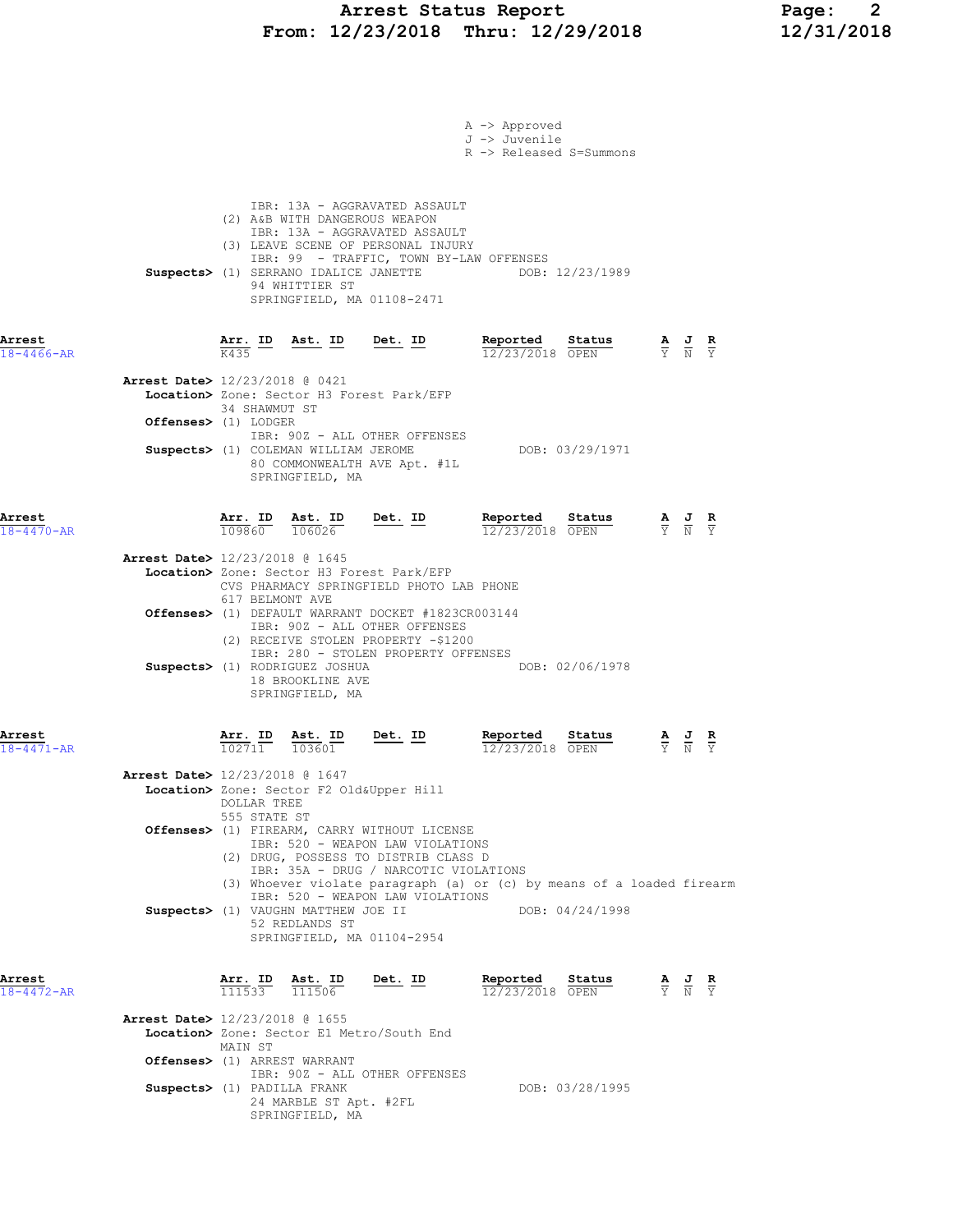## Arrest Status Report Page: 2 From: 12/23/2018 Thru: 12/29/2018 12/31/2018

|                            | A -> Approved<br>J -> Juvenile<br>R -> Released S=Summons                                                                                                                                                                                                                                                                                                                      |                                                                                                       |  |
|----------------------------|--------------------------------------------------------------------------------------------------------------------------------------------------------------------------------------------------------------------------------------------------------------------------------------------------------------------------------------------------------------------------------|-------------------------------------------------------------------------------------------------------|--|
|                            | IBR: 13A - AGGRAVATED ASSAULT<br>(2) A&B WITH DANGEROUS WEAPON<br>IBR: 13A - AGGRAVATED ASSAULT<br>(3) LEAVE SCENE OF PERSONAL INJURY<br>IBR: 99 - TRAFFIC, TOWN BY-LAW OFFENSES<br>Suspects> (1) SERRANO IDALICE JANETTE<br>DOB: 12/23/1989<br>94 WHITTIER ST<br>SPRINGFIELD, MA 01108-2471                                                                                   |                                                                                                       |  |
| Arrest<br>$18 - 4466 - AR$ | <u>Arr. ID</u><br>Reported<br>Status<br><u>Ast. ID</u><br><u>Det. ID</u><br>12/23/2018 OPEN<br>K435                                                                                                                                                                                                                                                                            | $\frac{\mathbf{A}}{\overline{Y}}$ $\frac{\mathbf{J}}{\overline{N}}$ $\frac{\mathbf{R}}{\overline{Y}}$ |  |
|                            | Arrest Date> 12/23/2018 @ 0421<br>Location> Zone: Sector H3 Forest Park/EFP<br>34 SHAWMUT ST<br>Offenses> (1) LODGER<br>IBR: 90Z - ALL OTHER OFFENSES<br>DOB: 03/29/1971<br>Suspects> (1) COLEMAN WILLIAM JEROME<br>80 COMMONWEALTH AVE Apt. #1L<br>SPRINGFIELD, MA                                                                                                            |                                                                                                       |  |
| Arrest<br>$18 - 4470 - AR$ | Arr. ID Ast. ID<br><u>Det. ID</u><br>Reported Status<br>109860 106026<br>12/23/2018 OPEN                                                                                                                                                                                                                                                                                       | $\frac{\mathbf{A}}{\overline{Y}}$ $\frac{\mathbf{J}}{\overline{N}}$ $\frac{\mathbf{R}}{\overline{Y}}$ |  |
|                            | Arrest Date> 12/23/2018 @ 1645<br>Location> Zone: Sector H3 Forest Park/EFP<br>CVS PHARMACY SPRINGFIELD PHOTO LAB PHONE<br>617 BELMONT AVE<br><b>Offenses&gt;</b> (1) DEFAULT WARRANT DOCKET #1823CR003144<br>IBR: 90Z - ALL OTHER OFFENSES<br>(2) RECEIVE STOLEN PROPERTY -\$1200<br>IBR: 280 - STOLEN PROPERTY OFFENSES<br>Suspects> (1) RODRIGUEZ JOSHUA<br>DOB: 02/06/1978 |                                                                                                       |  |
| Arrest                     | 18 BROOKLINE AVE<br>SPRINGFIELD, MA<br><u>Arr.</u> ID<br>Ast. ID<br>Det. ID<br>Reported<br>Status                                                                                                                                                                                                                                                                              |                                                                                                       |  |
| $18 - 4471 - AR$           | $\frac{102711}{}$<br>103601<br>12/23/2018 OPEN<br><b>Arrest Date&gt;</b> 12/23/2018 @ 1647<br>Location> Zone: Sector F2 Old&Upper Hill<br>DOLLAR TREE<br>555 STATE ST<br>Offenses> (1) FIREARM, CARRY WITHOUT LICENSE<br>IBR: 520 - WEAPON LAW VIOLATIONS<br>(2) DRUG, POSSESS TO DISTRIB CLASS D<br>IBR: 35A - DRUG / NARCOTIC VIOLATIONS                                     |                                                                                                       |  |
|                            | (3) Whoever violate paragraph (a) or (c) by means of a loaded firearm<br>IBR: 520 - WEAPON LAW VIOLATIONS<br>Suspects> (1) VAUGHN MATTHEW JOE II<br>DOB: 04/24/1998<br>52 REDLANDS ST<br>SPRINGFIELD, MA 01104-2954                                                                                                                                                            |                                                                                                       |  |
| Arrest<br>$18 - 4472 - AR$ | Reported<br>$\frac{\texttt{Arr.}}{111533}$ $\frac{\texttt{ Ast.}}{111506}$<br>Det. ID<br>Status<br>12/23/2018 OPEN                                                                                                                                                                                                                                                             | $\frac{\mathbf{A}}{\mathbf{Y}}$ $\frac{\mathbf{J}}{\mathbf{N}}$ $\frac{\mathbf{R}}{\mathbf{Y}}$       |  |
|                            | <b>Arrest Date&gt;</b> 12/23/2018 @ 1655<br>Location> Zone: Sector E1 Metro/South End<br>MAIN ST                                                                                                                                                                                                                                                                               |                                                                                                       |  |
|                            | <b>Offenses&gt;</b> (1) ARREST WARRANT<br>IBR: 90Z - ALL OTHER OFFENSES<br>Suspects> (1) PADILLA FRANK<br>DOB: 03/28/1995<br>24 MARBLE ST Apt. #2FL<br>SPRINGFIELD, MA                                                                                                                                                                                                         |                                                                                                       |  |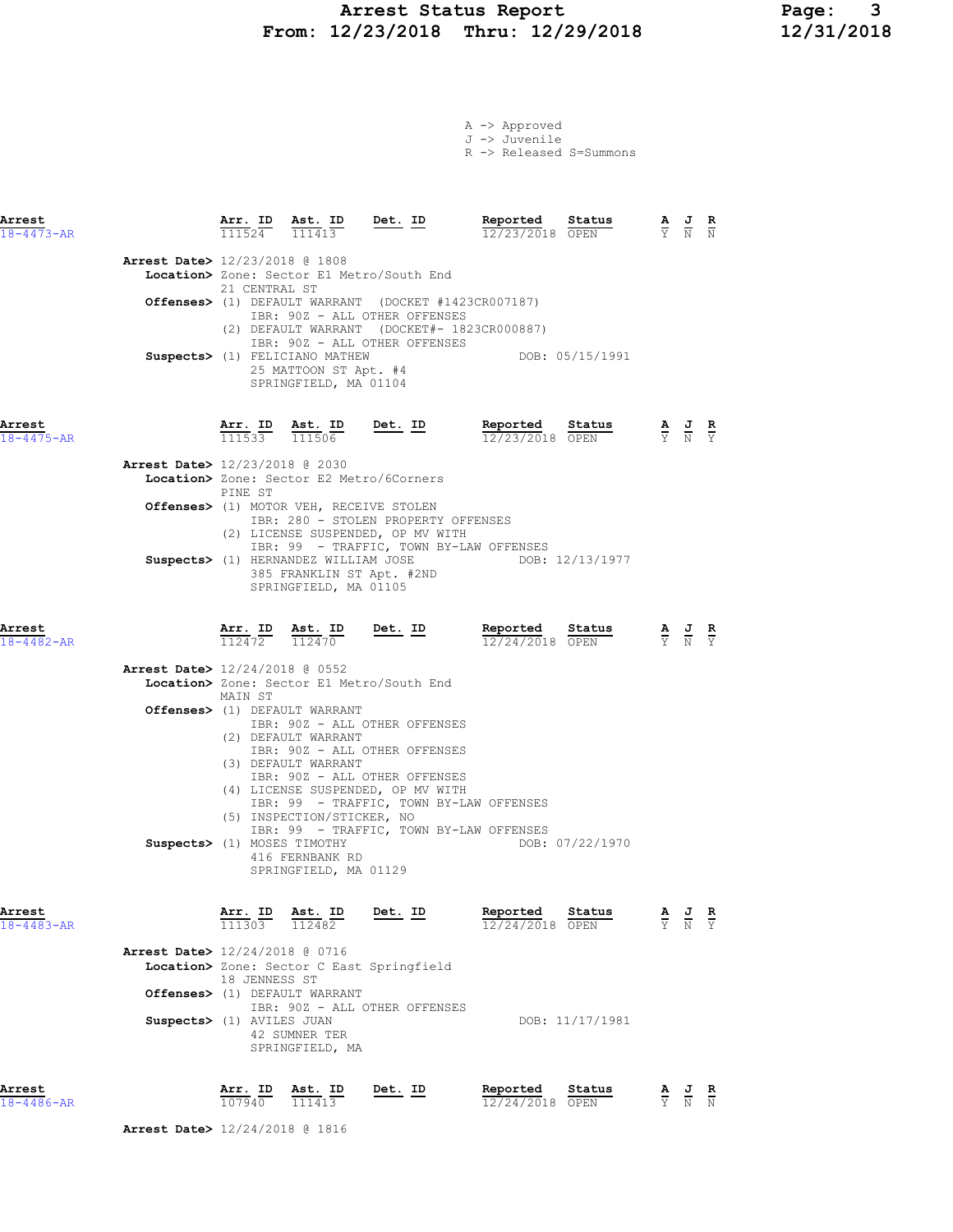## Arrest Status Report Page: 3 From: 12/23/2018 Thru: 12/29/2018 12/31/2018

A -> Approved J -> Juvenile R -> Released S=Summons

| Arrest<br>$18 - 4473 - AR$ |                                          | 111524 | Arr. ID Ast. ID<br>111413                 | Det. ID | Reported<br>12/23/2018 OPEN                                    | Status          | $\overline{\mathbf{F}}$<br>Y. | $\overline{a}$<br>N | R<br>N |
|----------------------------|------------------------------------------|--------|-------------------------------------------|---------|----------------------------------------------------------------|-----------------|-------------------------------|---------------------|--------|
|                            | <b>Arrest Date&gt;</b> 12/23/2018 @ 1808 |        |                                           |         |                                                                |                 |                               |                     |        |
|                            |                                          |        | Location> Zone: Sector E1 Metro/South End |         |                                                                |                 |                               |                     |        |
|                            |                                          |        | 21 CENTRAL ST                             |         |                                                                |                 |                               |                     |        |
|                            |                                          |        |                                           |         | <b>Offenses&gt;</b> (1) DEFAULT WARRANT (DOCKET #1423CR007187) |                 |                               |                     |        |
|                            |                                          |        | IBR: 90Z - ALL OTHER OFFENSES             |         |                                                                |                 |                               |                     |        |
|                            |                                          | (2)    |                                           |         | DEFAULT WARRANT (DOCKET#- 1823CR000887)                        |                 |                               |                     |        |
|                            |                                          |        | IBR: 90Z - ALL OTHER OFFENSES             |         |                                                                |                 |                               |                     |        |
|                            |                                          |        | Suspects> (1) FELICIANO MATHEW            |         |                                                                | DOB: 05/15/1991 |                               |                     |        |
|                            |                                          |        | 25 MATTOON ST Apt. #4                     |         |                                                                |                 |                               |                     |        |
|                            |                                          |        | SPRINGFIELD, MA 01104                     |         |                                                                |                 |                               |                     |        |
|                            |                                          |        |                                           |         |                                                                |                 |                               |                     |        |

Arrest Arr. ID Ast. ID Det. ID Reported Status A J R 18-4475-AR 111533 111506 12/23/2018 OPEN Y N Y

| <b>Arrest Date&gt;</b> 12/23/2018 @ 2030                |
|---------------------------------------------------------|
| Location> Zone: Sector E2 Metro/6Corners                |
| PINE ST                                                 |
| Offenses> (1) MOTOR VEH, RECEIVE STOLEN                 |
| IBR: 280 - STOLEN PROPERTY OFFENSES                     |
| (2) LICENSE SUSPENDED, OP MV WITH                       |
| IBR: 99 - TRAFFIC, TOWN BY-LAW OFFENSES                 |
| DOB: 12/13/1977<br>Suspects> (1) HERNANDEZ WILLIAM JOSE |
| 385 FRANKLIN ST Apt. #2ND                               |
| SPRINGFIELD, MA 01105                                   |

Arrest Arr. ID Ast. ID Det. ID Reported Status A J R

| 18-4482-AR |                                |         | 112472 112470                             | 12/24/2018 OPEN |                 | Y N Y |  |
|------------|--------------------------------|---------|-------------------------------------------|-----------------|-----------------|-------|--|
|            | Arrest Date> 12/24/2018 @ 0552 |         |                                           |                 |                 |       |  |
|            |                                |         | Location> Zone: Sector E1 Metro/South End |                 |                 |       |  |
|            |                                | MAIN ST |                                           |                 |                 |       |  |
|            |                                |         | <b>Offenses&gt;</b> (1) DEFAULT WARRANT   |                 |                 |       |  |
|            |                                |         | IBR: 90Z - ALL OTHER OFFENSES             |                 |                 |       |  |
|            |                                |         | (2) DEFAULT WARRANT                       |                 |                 |       |  |
|            |                                |         | IBR: 90Z - ALL OTHER OFFENSES             |                 |                 |       |  |
|            |                                |         | (3) DEFAULT WARRANT                       |                 |                 |       |  |
|            |                                |         | IBR: 90Z - ALL OTHER OFFENSES             |                 |                 |       |  |
|            |                                |         | (4) LICENSE SUSPENDED, OP MV WITH         |                 |                 |       |  |
|            |                                |         | IBR: 99 - TRAFFIC, TOWN BY-LAW OFFENSES   |                 |                 |       |  |
|            |                                |         | (5) INSPECTION/STICKER, NO                |                 |                 |       |  |
|            |                                |         | IBR: 99 - TRAFFIC, TOWN BY-LAW OFFENSES   |                 |                 |       |  |
|            | Suspects> (1) MOSES TIMOTHY    |         |                                           |                 | DOB: 07/22/1970 |       |  |
|            |                                |         | 416 FERNBANK RD                           |                 |                 |       |  |
|            |                                |         | SPRINGFIELD, MA 01129                     |                 |                 |       |  |
|            |                                |         |                                           |                 |                 |       |  |

Arrest Arr. ID Ast. ID Det. ID Reported Status A J R

| $111303 \overline{112482}$                |                 |                   |       |
|-------------------------------------------|-----------------|-------------------|-------|
| Arrest Date> 12/24/2018 @ 0716            |                 |                   |       |
| Location> Zone: Sector C East Springfield |                 |                   |       |
| 18 JENNESS ST                             |                 |                   |       |
| <b>Offenses&gt;</b> (1) DEFAULT WARRANT   |                 |                   |       |
| IBR: 90Z - ALL OTHER OFFENSES             |                 |                   |       |
| Suspects> (1) AVILES JUAN                 | DOB: 11/17/1981 |                   |       |
| 42 SUMNER TER                             |                 |                   |       |
|                                           |                 |                   |       |
|                                           | SPRINGFIELD, MA | $12/24/2018$ OPEN | Y N Y |

Arrest Arr. ID Ast. ID Det. ID Reported Status A J R 18-4486-AR 107940 111413 12/24/2018 OPEN Y N N

Arrest Date> 12/24/2018 @ 1816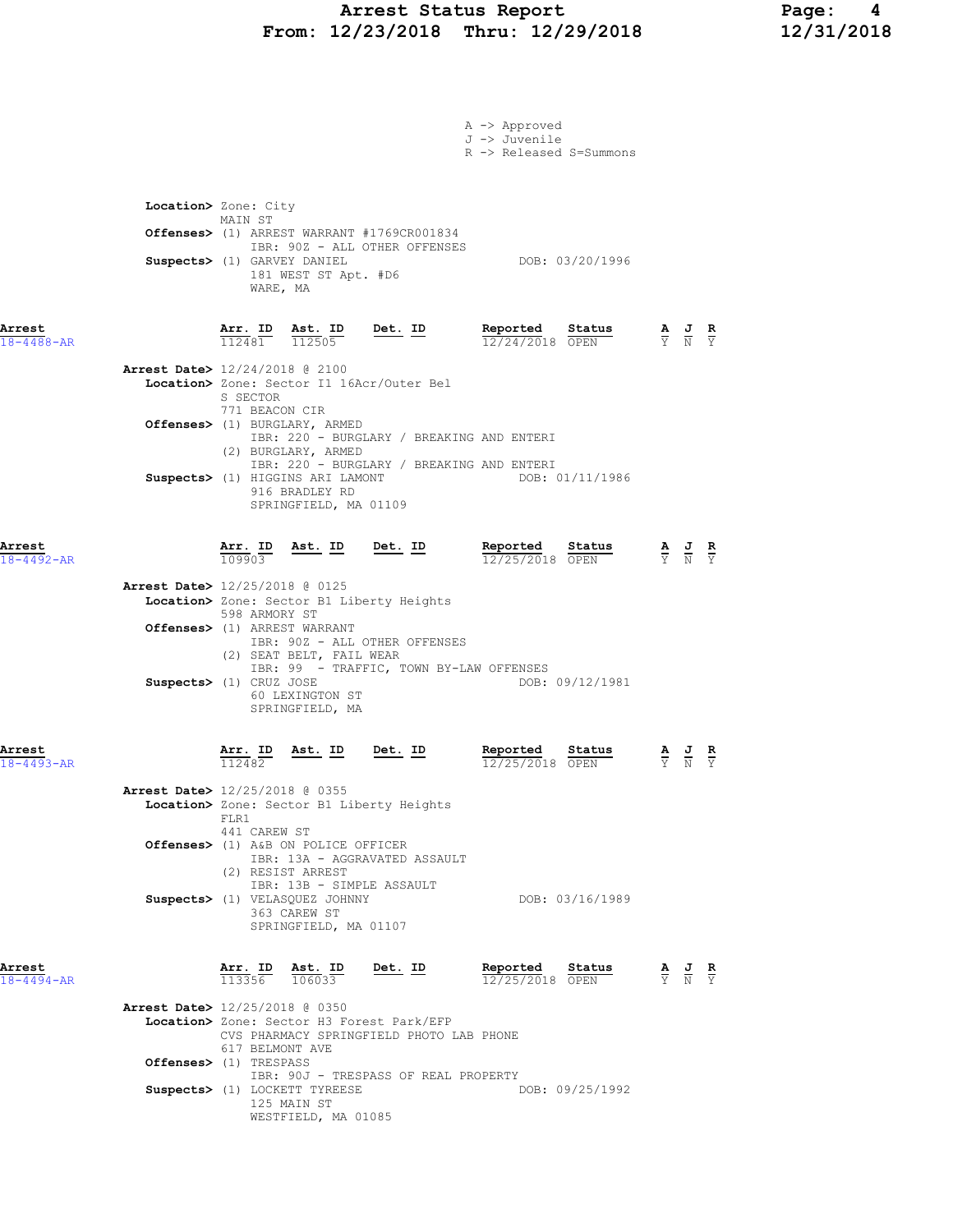## Arrest Status Report Page: 4 From: 12/23/2018 Thru: 12/29/2018 12/31/2018

|                            | A -> Approved<br>J -> Juvenile                                                                                                                                                                                                                                                                        |                                                                                                 |  |
|----------------------------|-------------------------------------------------------------------------------------------------------------------------------------------------------------------------------------------------------------------------------------------------------------------------------------------------------|-------------------------------------------------------------------------------------------------|--|
|                            | R -> Released S=Summons<br>Location> Zone: City<br>MAIN ST<br>Offenses> (1) ARREST WARRANT #1769CR001834<br>IBR: 90Z - ALL OTHER OFFENSES<br>Suspects> (1) GARVEY DANIEL<br>DOB: 03/20/1996<br>181 WEST ST Apt. #D6<br>WARE, MA                                                                       |                                                                                                 |  |
| Arrest<br>$18 - 4488 - AR$ | <b>Arr. ID</b> Ast. ID Det. ID Reported Status 12481 12505<br>$\frac{\mathbf{A}}{\mathbf{Y}}$ $\frac{\mathbf{J}}{\mathbf{N}}$ $\frac{\mathbf{R}}{\mathbf{Y}}$                                                                                                                                         |                                                                                                 |  |
|                            | Arrest Date> 12/24/2018 @ 2100<br>Location> Zone: Sector I1 16Acr/Outer Bel<br>S SECTOR<br>771 BEACON CIR                                                                                                                                                                                             |                                                                                                 |  |
|                            | Offenses> (1) BURGLARY, ARMED<br>IBR: 220 - BURGLARY / BREAKING AND ENTERI<br>(2) BURGLARY, ARMED<br>IBR: 220 - BURGLARY / BREAKING AND ENTERI                                                                                                                                                        |                                                                                                 |  |
|                            | Suspects> (1) HIGGINS ARI LAMONT<br>DOB: 01/11/1986<br>916 BRADLEY RD<br>SPRINGFIELD, MA 01109                                                                                                                                                                                                        |                                                                                                 |  |
| Arrest<br>$18 - 4492 - AR$ | Ast. ID Det. ID Reported Status<br>$\frac{1}{12}/\frac{1}{25}/2018$ $\frac{1}{\text{QERM}}$<br>$\frac{\texttt{Arr.}}{109903}$<br>12/25/2018 OPEN                                                                                                                                                      | $\frac{\mathbf{A}}{\mathbf{Y}}$ $\frac{\mathbf{J}}{\mathbf{N}}$ $\frac{\mathbf{R}}{\mathbf{Y}}$ |  |
|                            | Arrest Date> 12/25/2018 @ 0125<br>Location> Zone: Sector B1 Liberty Heights<br>598 ARMORY ST<br>Offenses> (1) ARREST WARRANT<br>IBR: 90Z - ALL OTHER OFFENSES<br>(2) SEAT BELT, FAIL WEAR<br>IBR: 99 - TRAFFIC, TOWN BY-LAW OFFENSES<br>Suspects> (1) CRUZ JOSE<br>DOB: 09/12/1981<br>60 LEXINGTON ST |                                                                                                 |  |
| Arrest<br>$18 - 4493 - AR$ | SPRINGFIELD, MA<br>Arr. ID<br>Ast. ID<br>Det. ID<br>Reported<br>Status<br>112482<br>12/25/2018 OPEN                                                                                                                                                                                                   | $\frac{\mathbf{A}}{\mathbf{Y}}$ $\frac{\mathbf{J}}{\mathbf{N}}$ $\frac{\mathbf{R}}{\mathbf{Y}}$ |  |
|                            | <b>Arrest Date&gt;</b> 12/25/2018 @ 0355<br>Location> Zone: Sector B1 Liberty Heights<br>FLR1<br>441 CAREW ST<br>Offenses> (1) A&B ON POLICE OFFICER<br>IBR: 13A - AGGRAVATED ASSAULT                                                                                                                 |                                                                                                 |  |
|                            | (2) RESIST ARREST<br>IBR: 13B - SIMPLE ASSAULT<br>Suspects> (1) VELASQUEZ JOHNNY<br>DOB: 03/16/1989<br>363 CAREW ST<br>SPRINGFIELD, MA 01107                                                                                                                                                          |                                                                                                 |  |
| Arrest<br>$18 - 4494 - AR$ | Reported Status<br>Arr. ID<br>Ast. ID<br>Det. ID<br>113356<br>106033<br>12/25/2018 OPEN                                                                                                                                                                                                               | $\frac{\mathbf{A}}{\mathbf{Y}}$ $\frac{\mathbf{J}}{\mathbf{N}}$ $\frac{\mathbf{R}}{\mathbf{Y}}$ |  |
|                            | <b>Arrest Date&gt;</b> 12/25/2018 @ 0350<br>Location> Zone: Sector H3 Forest Park/EFP<br>CVS PHARMACY SPRINGFIELD PHOTO LAB PHONE<br>617 BELMONT AVE                                                                                                                                                  |                                                                                                 |  |
|                            | Offenses> (1) TRESPASS<br>IBR: 90J - TRESPASS OF REAL PROPERTY<br>DOB: 09/25/1992<br>Suspects> (1) LOCKETT TYREESE<br>125 MAIN ST<br>WESTFIELD, MA 01085                                                                                                                                              |                                                                                                 |  |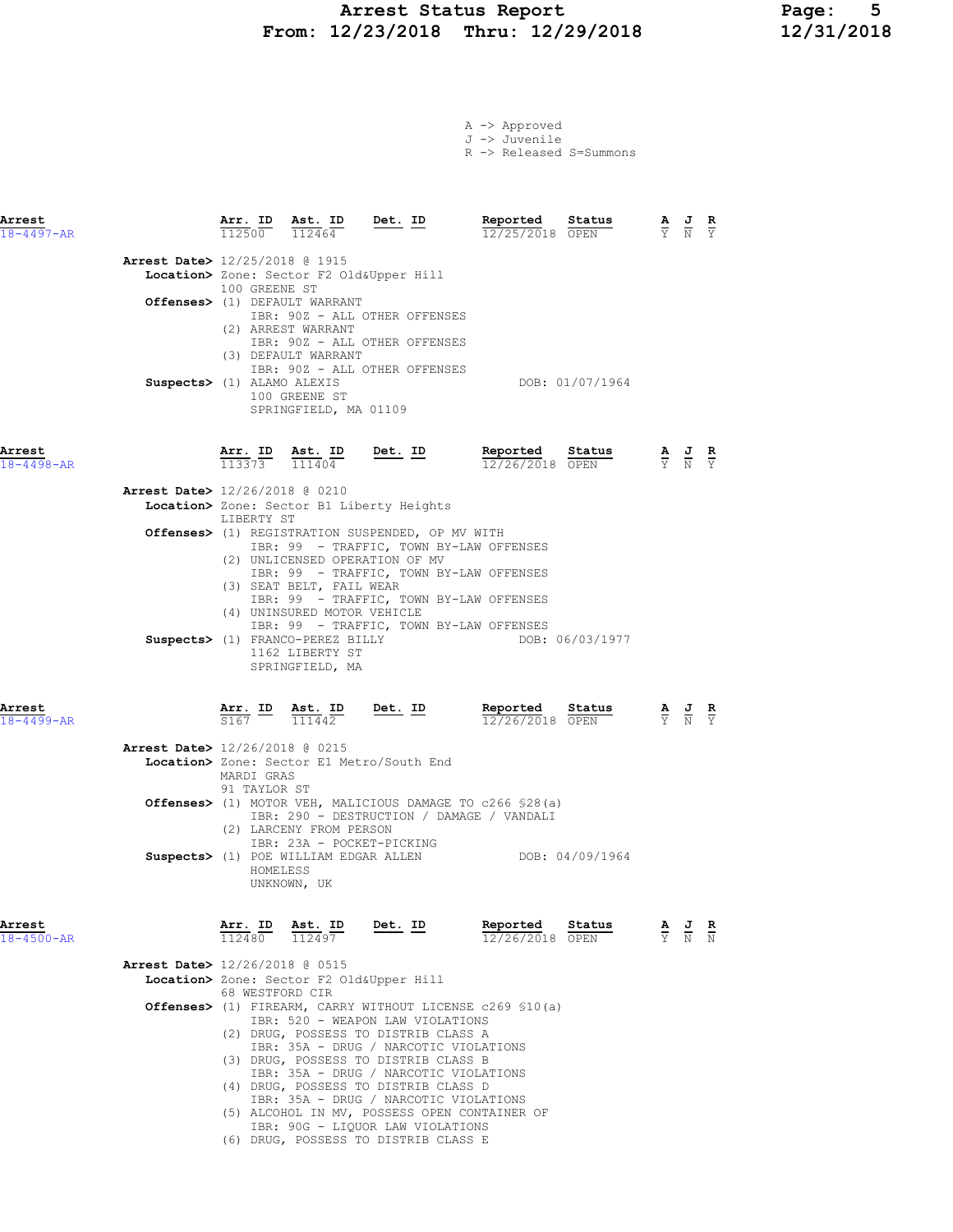## Arrest Status Report Page: 5 From: 12/23/2018 Thru: 12/29/2018

|  | A -> Approved |  |  |
|--|---------------|--|--|
|  | J -> Juvenile |  |  |
|  |               |  |  |

R -> Released S=Summons

| <b>Arrest</b><br>$18 - 4497 - AR$ |                                                              | Arr. ID                                                                                                               | $\frac{\text{Arr.}}{112500}$ $\frac{\text{dst.}}{112464}$                                                            | $\frac{\texttt{Ast.}}{112464}$ Det. ID                                                                                                                                                                                                                                                                                                                                                            | Reported<br>12/25/2018 OPEN                                                                                                                                                                 | Status          |                                 | $\frac{\mathbf{A}}{\mathbf{Y}}$ $\frac{\mathbf{J}}{\mathbf{N}}$ $\frac{\mathbf{R}}{\mathbf{Y}}$ |  |
|-----------------------------------|--------------------------------------------------------------|-----------------------------------------------------------------------------------------------------------------------|----------------------------------------------------------------------------------------------------------------------|---------------------------------------------------------------------------------------------------------------------------------------------------------------------------------------------------------------------------------------------------------------------------------------------------------------------------------------------------------------------------------------------------|---------------------------------------------------------------------------------------------------------------------------------------------------------------------------------------------|-----------------|---------------------------------|-------------------------------------------------------------------------------------------------|--|
|                                   | Arrest Date> 12/25/2018 @ 1915<br>Suspects> (1) ALAMO ALEXIS | 100 GREENE ST                                                                                                         | Offenses> (1) DEFAULT WARRANT<br>(2) ARREST WARRANT<br>(3) DEFAULT WARRANT<br>100 GREENE ST<br>SPRINGFIELD, MA 01109 | Location> Zone: Sector F2 Old&Upper Hill<br>IBR: 90Z - ALL OTHER OFFENSES<br>IBR: 90Z - ALL OTHER OFFENSES<br>IBR: 90Z - ALL OTHER OFFENSES                                                                                                                                                                                                                                                       |                                                                                                                                                                                             | DOB: 01/07/1964 |                                 |                                                                                                 |  |
| Arrest<br>$18 - 4498 - AR$        | <b>Arrest Date&gt;</b> 12/26/2018 @ 0210                     | Arr. ID<br>$113373$ $111404$<br>LIBERTY ST                                                                            | Ast. ID<br>(3) SEAT BELT, FAIL WEAR<br>(4) UNINSURED MOTOR VEHICLE<br>1162 LIBERTY ST<br>SPRINGFIELD, MA             | Location> Zone: Sector B1 Liberty Heights<br>Offenses> (1) REGISTRATION SUSPENDED, OP MV WITH<br>IBR: 99 - TRAFFIC, TOWN BY-LAW OFFENSES<br>(2) UNLICENSED OPERATION OF MV<br>IBR: 99 - TRAFFIC, TOWN BY-LAW OFFENSES<br>IBR: 99 - TRAFFIC, TOWN BY-LAW OFFENSES<br>IBR: 99 - TRAFFIC, TOWN BY-LAW OFFENSES                                                                                       | Det. ID Reported Status<br>$\frac{12}{2}/26/2018$ OPEN<br><b>Reported</b> Status $\frac{A}{Y}$ J R<br>12/26/2018 OPEN $\frac{A}{Y}$ J Y<br>Suspects> (1) FRANCO-PEREZ BILLY DOB: 06/03/1977 |                 |                                 |                                                                                                 |  |
| Arrest<br>18-4499-AR              | <b>Arrest Date&gt;</b> 12/26/2018 @ 0215                     | $\frac{\texttt{Arr.}}{\texttt{S167}}$ $\frac{\texttt{ID}}{\texttt{I11442}}$<br>MARDI GRAS<br>91 TAYLOR ST<br>HOMELESS | (2) LARCENY FROM PERSON<br>UNKNOWN, UK                                                                               | Det. ID<br>Location> Zone: Sector E1 Metro/South End<br>IBR: 290 - DESTRUCTION / DAMAGE / VANDALI<br>IBR: 23A - POCKET-PICKING                                                                                                                                                                                                                                                                    | Reported Status<br>12/26/2018 OPEN<br>12/26/2018 OPEN<br><b>Offenses&gt;</b> (1) MOTOR VEH, MALICIOUS DAMAGE TO c266 \$28(a)<br>Suspects> (1) POE WILLIAM EDGAR ALLEN DOB: 04/09/1964       |                 |                                 | $\frac{\mathbf{A}}{\mathbf{Y}}$ $\frac{\mathbf{J}}{\mathbf{N}}$ $\frac{\mathbf{R}}{\mathbf{Y}}$ |  |
| Arrest<br>$18 - 4500 - AR$        | <b>Arrest Date&gt;</b> 12/26/2018 @ 0515                     | <u>Arr.</u> ID<br>68 WESTFORD CIR                                                                                     | Ast. ID                                                                                                              | <u>Det.</u> ID<br>Location> Zone: Sector F2 Old&Upper Hill<br>IBR: 520 - WEAPON LAW VIOLATIONS<br>(2) DRUG, POSSESS TO DISTRIB CLASS A<br>IBR: 35A - DRUG / NARCOTIC VIOLATIONS<br>(3) DRUG, POSSESS TO DISTRIB CLASS B<br>IBR: 35A - DRUG / NARCOTIC VIOLATIONS<br>(4) DRUG, POSSESS TO DISTRIB CLASS D<br>IBR: 35A - DRUG / NARCOTIC VIOLATIONS<br>(5) ALCOHOL IN MV, POSSESS OPEN CONTAINER OF | Reported<br>12/26/2018 OPEN<br>Offenses> (1) FIREARM, CARRY WITHOUT LICENSE c269 \$10(a)                                                                                                    | Status          | $\frac{\mathbf{A}}{\mathbf{Y}}$ | $\frac{1}{N}$                                                                                   |  |

 IBR: 90G - LIQUOR LAW VIOLATIONS (6) DRUG, POSSESS TO DISTRIB CLASS E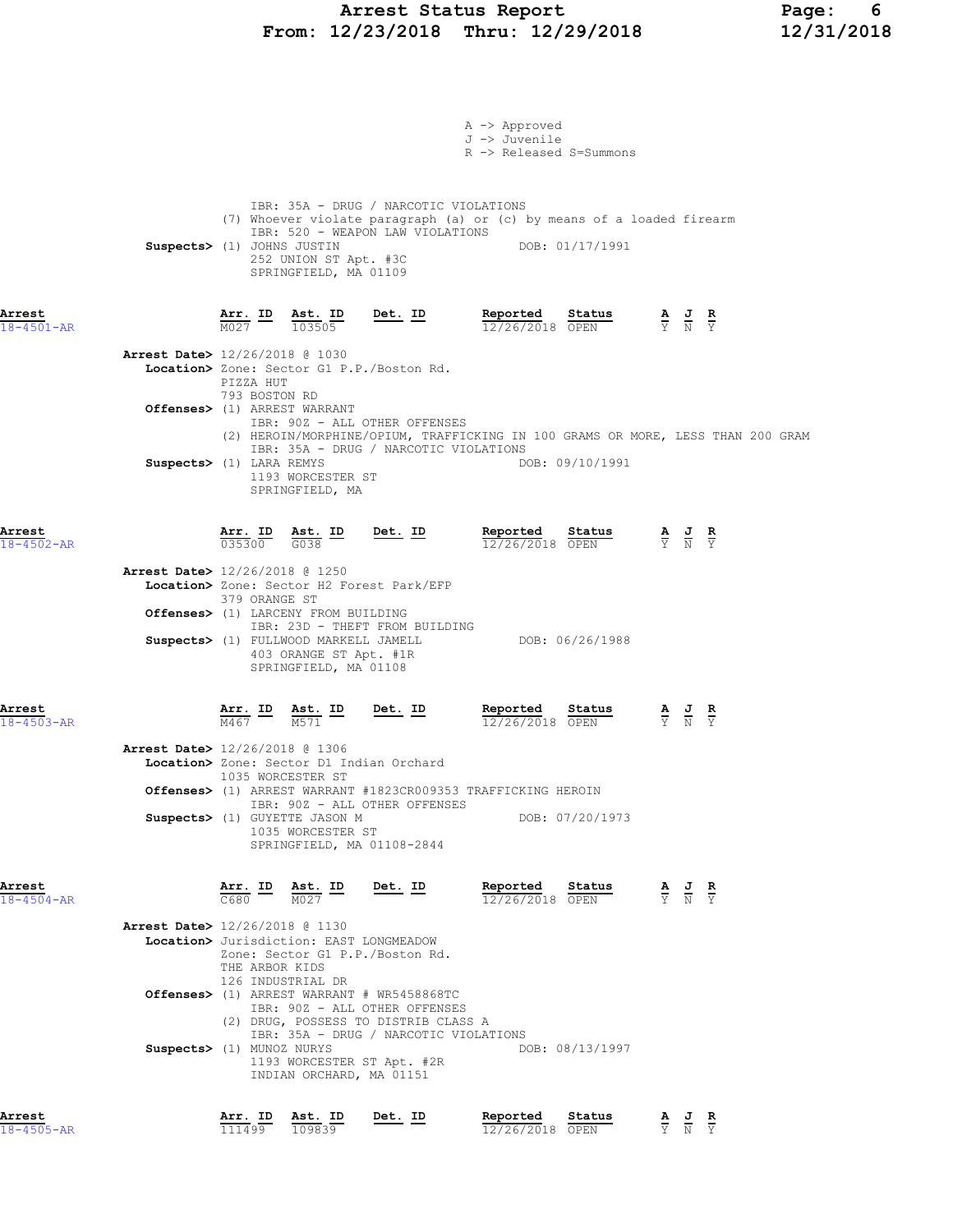## Arrest Status Report Page: 6 From: 12/23/2018 Thru: 12/29/2018 12/31/2018

|                            |                                          |                                |           |                                                                                                                                                                        |                | A -> Approved<br>J -> Juvenile<br>R -> Released S=Summons                       |                 |                                           |                                                                                                 |  |
|----------------------------|------------------------------------------|--------------------------------|-----------|------------------------------------------------------------------------------------------------------------------------------------------------------------------------|----------------|---------------------------------------------------------------------------------|-----------------|-------------------------------------------|-------------------------------------------------------------------------------------------------|--|
|                            | Suspects> (1) JOHNS JUSTIN               |                                |           | IBR: 35A - DRUG / NARCOTIC VIOLATIONS<br>IBR: 520 - WEAPON LAW VIOLATIONS<br>252 UNION ST Apt. #3C<br>SPRINGFIELD, MA 01109                                            |                | (7) Whoever violate paragraph (a) or (c) by means of a loaded firearm           | DOB: 01/17/1991 |                                           |                                                                                                 |  |
| Arrest<br>18-4501-AR       |                                          | $Arr.$ ID<br>$\overline{M}027$ |           | <u>Ast. ID</u><br>103505                                                                                                                                               | <u>Det. ID</u> | Reported<br>12/26/2018 OPEN                                                     | Status          | $\frac{A}{Y}$ $\frac{J}{N}$ $\frac{R}{Y}$ |                                                                                                 |  |
|                            | <b>Arrest Date&gt;</b> 12/26/2018 @ 1030 |                                | PIZZA HUT | Location> Zone: Sector G1 P.P./Boston Rd.                                                                                                                              |                |                                                                                 |                 |                                           |                                                                                                 |  |
|                            |                                          |                                |           | 793 BOSTON RD<br>Offenses> (1) ARREST WARRANT<br>IBR: 90Z - ALL OTHER OFFENSES                                                                                         |                | (2) HEROIN/MORPHINE/OPIUM, TRAFFICKING IN 100 GRAMS OR MORE, LESS THAN 200 GRAM |                 |                                           |                                                                                                 |  |
|                            | Suspects> (1) LARA REMYS                 |                                |           | IBR: 35A - DRUG / NARCOTIC VIOLATIONS<br>1193 WORCESTER ST<br>SPRINGFIELD, MA                                                                                          |                |                                                                                 | DOB: 09/10/1991 |                                           |                                                                                                 |  |
| Arrest<br>$18 - 4502 - AR$ |                                          |                                |           | Arr. ID Ast. ID<br>$035300$ $G038$                                                                                                                                     | Det. ID        | Reported<br>$12/26/2018$ OPEN                                                   | Status          |                                           | $\frac{\mathbf{A}}{\mathbf{Y}}$ $\frac{\mathbf{J}}{\mathbf{N}}$ $\frac{\mathbf{R}}{\mathbf{Y}}$ |  |
|                            | <b>Arrest Date&gt;</b> 12/26/2018 @ 1250 |                                |           | Location> Zone: Sector H2 Forest Park/EFP<br>379 ORANGE ST<br>Offenses> (1) LARCENY FROM BUILDING                                                                      |                |                                                                                 |                 |                                           |                                                                                                 |  |
|                            |                                          |                                |           | IBR: 23D - THEFT FROM BUILDING<br>Suspects> (1) FULLWOOD MARKELL JAMELL<br>403 ORANGE ST Apt. #1R<br>SPRINGFIELD, MA 01108                                             |                |                                                                                 | DOB: 06/26/1988 |                                           |                                                                                                 |  |
| Arrest<br>$18 - 4503 - AR$ |                                          | M467                           |           | Arr. ID Ast. ID<br>M571                                                                                                                                                | Det. ID        | Reported<br>12/26/2018 OPEN                                                     | Status          |                                           | $\frac{\mathbf{A}}{\mathbf{Y}}$ $\frac{\mathbf{J}}{\mathbf{N}}$ $\frac{\mathbf{R}}{\mathbf{Y}}$ |  |
|                            | <b>Arrest Date&gt;</b> 12/26/2018 @ 1306 |                                |           | Location> Zone: Sector D1 Indian Orchard<br>1035 WORCESTER ST                                                                                                          |                | <b>Offenses&gt;</b> (1) ARREST WARRANT #1823CR009353 TRAFFICKING HEROIN         |                 |                                           |                                                                                                 |  |
|                            |                                          |                                |           | IBR: 90Z - ALL OTHER OFFENSES<br>Suspects> (1) GUYETTE JASON M<br>1035 WORCESTER ST<br>SPRINGFIELD, MA 01108-2844                                                      |                |                                                                                 | DOB: 07/20/1973 |                                           |                                                                                                 |  |
| Arrest<br>$18 - 4504 - AR$ |                                          | C680                           |           | Arr. ID Ast. ID<br>M027                                                                                                                                                | Det. ID        | Reported<br>12/26/2018 OPEN                                                     | Status          |                                           | $\frac{\mathbf{A}}{\mathbf{Y}}$ $\frac{\mathbf{J}}{\mathbf{N}}$ $\frac{\mathbf{R}}{\mathbf{Y}}$ |  |
|                            | Arrest Date> 12/26/2018 @ 1130           |                                |           | Location> Jurisdiction: EAST LONGMEADOW<br>Zone: Sector G1 P.P./Boston Rd.<br>THE ARBOR KIDS<br>126 INDUSTRIAL DR                                                      |                |                                                                                 |                 |                                           |                                                                                                 |  |
|                            |                                          |                                |           | <b>Offenses&gt;</b> (1) ARREST WARRANT # WR5458868TC<br>IBR: 90Z - ALL OTHER OFFENSES<br>(2) DRUG, POSSESS TO DISTRIB CLASS A<br>IBR: 35A - DRUG / NARCOTIC VIOLATIONS |                |                                                                                 |                 |                                           |                                                                                                 |  |
|                            | Suspects> (1) MUNOZ NURYS                |                                |           | 1193 WORCESTER ST Apt. #2R<br>INDIAN ORCHARD, MA 01151                                                                                                                 |                |                                                                                 | DOB: 08/13/1997 |                                           |                                                                                                 |  |
| Arrest<br>$18 - 4505 - AR$ |                                          | Arr. ID<br>111499              |           | Ast. ID<br>109839                                                                                                                                                      | Det. ID        | Reported<br>12/26/2018 OPEN                                                     | Status          |                                           | $\frac{\mathbf{A}}{\mathbf{Y}}$ $\frac{\mathbf{J}}{\mathbf{N}}$ $\frac{\mathbf{R}}{\mathbf{Y}}$ |  |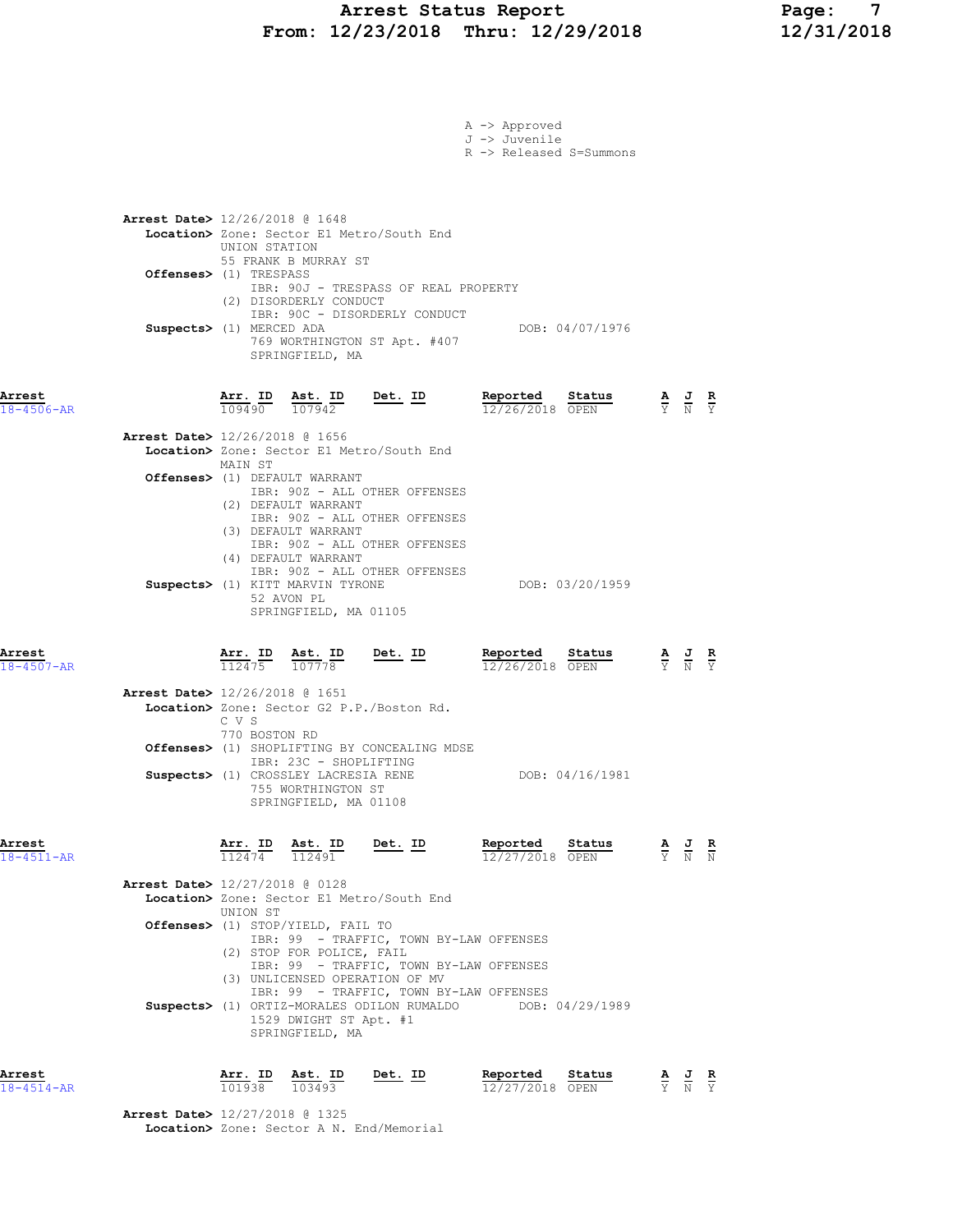# Arrest Status Report Page: 7 From: 12/23/2018 Thru: 12/29/2018

|                                                                                                |                                |                                                                                                               |                                                                                                                                                                 | A -> Approved<br>J -> Juvenile<br>R -> Released S=Summons                                                                                                      |                                                                                                       |  |
|------------------------------------------------------------------------------------------------|--------------------------------|---------------------------------------------------------------------------------------------------------------|-----------------------------------------------------------------------------------------------------------------------------------------------------------------|----------------------------------------------------------------------------------------------------------------------------------------------------------------|-------------------------------------------------------------------------------------------------------|--|
| <b>Arrest Date&gt;</b> 12/26/2018 @ 1648<br>Offenses> (1) TRESPASS<br>Suspects> (1) MERCED ADA | UNION STATION                  | 55 FRANK B MURRAY ST<br>(2) DISORDERLY CONDUCT<br>SPRINGFIELD, MA                                             | Location> Zone: Sector E1 Metro/South End<br>IBR: 90J - TRESPASS OF REAL PROPERTY<br>IBR: 90C - DISORDERLY CONDUCT<br>769 WORTHINGTON ST Apt. #407              | DOB: 04/07/1976                                                                                                                                                |                                                                                                       |  |
| Arrest<br>$18 - 4506 - AR$                                                                     | Arr. ID                        | Ast. ID<br>$\overline{109490}$ $\overline{107942}$                                                            | <u>Det. ID</u>                                                                                                                                                  | Reported<br>Status<br>12/26/2018 OPEN                                                                                                                          | $\frac{\mathbf{A}}{\mathbf{Y}}$ $\frac{\mathbf{J}}{\mathbf{N}}$ $\frac{\mathbf{R}}{\mathbf{Y}}$       |  |
| <b>Arrest Date&gt;</b> 12/26/2018 @ 1656                                                       | MAIN ST                        | Offenses> (1) DEFAULT WARRANT<br>(2) DEFAULT WARRANT<br>(3) DEFAULT WARRANT                                   | Location> Zone: Sector E1 Metro/South End<br>IBR: 90Z - ALL OTHER OFFENSES<br>IBR: 90Z - ALL OTHER OFFENSES<br>IBR: 90Z - ALL OTHER OFFENSES                    |                                                                                                                                                                |                                                                                                       |  |
|                                                                                                |                                | (4) DEFAULT WARRANT<br>Suspects> (1) KITT MARVIN TYRONE<br>52 AVON PL<br>SPRINGFIELD, MA 01105                | IBR: 90Z - ALL OTHER OFFENSES                                                                                                                                   | DOB: 03/20/1959                                                                                                                                                |                                                                                                       |  |
| Arrest<br>$18 - 4507 - AR$                                                                     | $\frac{\texttt{Arr.}}{112475}$ | Ast. ID<br>107778                                                                                             | $Det. ID$                                                                                                                                                       | <u>Reported</u><br>Status<br>12/26/2018 OPEN                                                                                                                   | $\frac{\mathbf{A}}{\overline{Y}}$ $\frac{\mathbf{J}}{\overline{N}}$ $\frac{\mathbf{R}}{\overline{Y}}$ |  |
| <b>Arrest Date&gt;</b> 12/26/2018 @ 1651                                                       | C V S<br>770 BOSTON RD         | IBR: 23C - SHOPLIFTING<br>Suspects> (1) CROSSLEY LACRESIA RENE<br>755 WORTHINGTON ST<br>SPRINGFIELD, MA 01108 | Location> Zone: Sector G2 P.P./Boston Rd.<br>Offenses> (1) SHOPLIFTING BY CONCEALING MDSE                                                                       | DOB: 04/16/1981                                                                                                                                                |                                                                                                       |  |
| Arrest<br>$18 - 4511 - AR$                                                                     |                                |                                                                                                               |                                                                                                                                                                 | <b>Arr. ID</b> Ast. ID Det. ID Reported Status A J R<br>$\frac{12474}{112491}$ $\frac{12}{21}$ $\frac{12}{27/2018}$ $\frac{128}{9 \text{ FN}}$ $\frac{12}{12}$ |                                                                                                       |  |
| Arrest Date> 12/27/2018 @ 0128                                                                 | UNION ST                       | <b>Offenses&gt;</b> (1) STOP/YIELD, FAIL TO                                                                   | Location> Zone: Sector E1 Metro/South End                                                                                                                       |                                                                                                                                                                |                                                                                                       |  |
|                                                                                                |                                | (2) STOP FOR POLICE, FAIL<br>1529 DWIGHT ST Apt. #1<br>SPRINGFIELD, MA                                        | IBR: 99 - TRAFFIC, TOWN BY-LAW OFFENSES<br>IBR: 99 - TRAFFIC, TOWN BY-LAW OFFENSES<br>(3) UNLICENSED OPERATION OF MV<br>IBR: 99 - TRAFFIC, TOWN BY-LAW OFFENSES | Suspects> (1) ORTIZ-MORALES ODILON RUMALDO DOB: 04/29/1989                                                                                                     |                                                                                                       |  |
| Arrest<br>18-4514-AR                                                                           | $\frac{\texttt{Arr.}}{101938}$ | <u>Ast. ID</u><br>103493                                                                                      | <u>Det. ID</u>                                                                                                                                                  | Reported<br>$\frac{\text{Status}}{\text{}}$<br>12/27/2018 OPEN                                                                                                 | $\frac{\mathbf{A}}{\overline{Y}}$ $\frac{\mathbf{J}}{\overline{N}}$ $\frac{\mathbf{R}}{\overline{Y}}$ |  |

 Arrest Date> 12/27/2018 @ 1325 Location> Zone: Sector A N. End/Memorial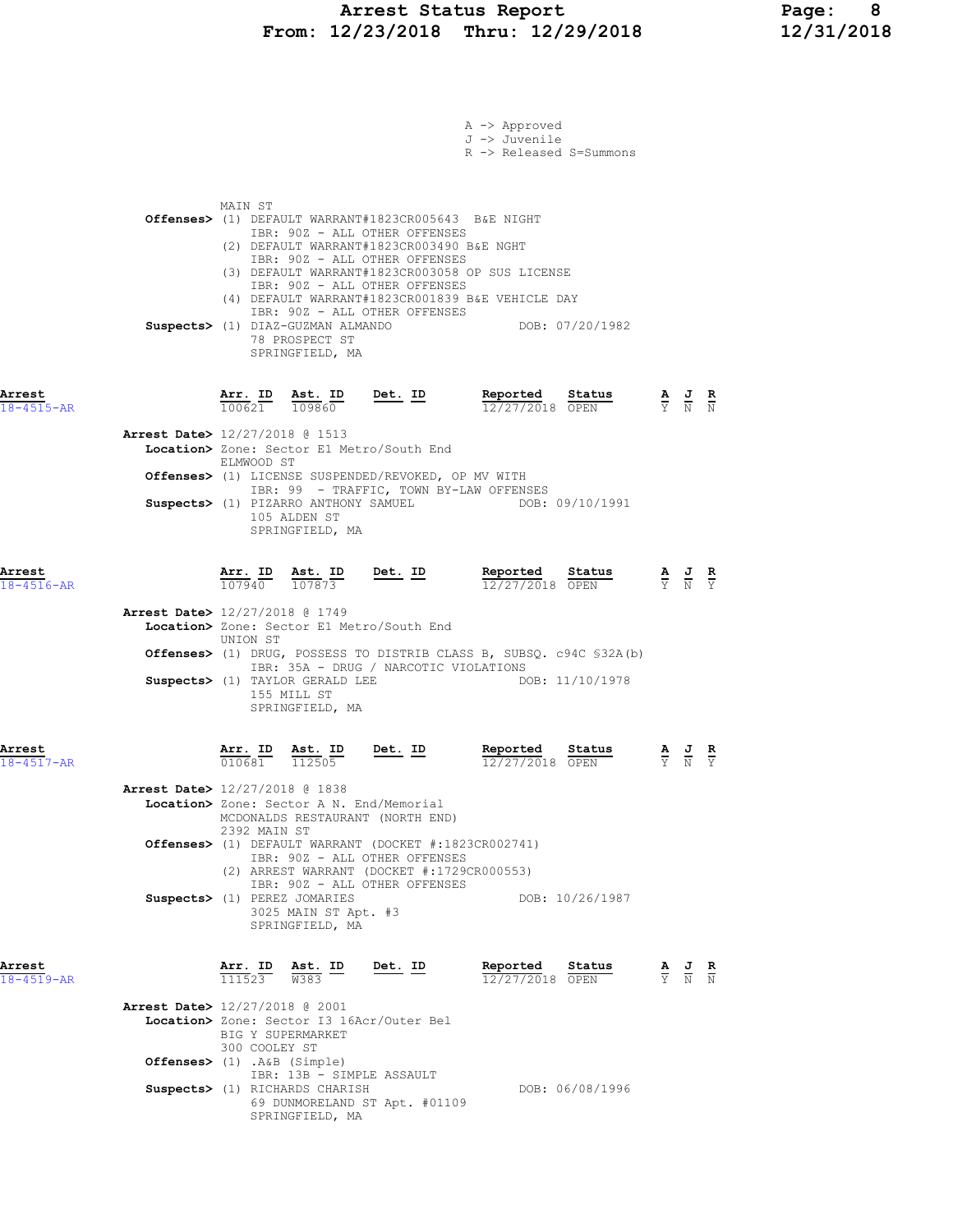|                                          |                                |                                                                                                                                                                               |                | A -> Approved<br>J -> Juvenile<br>R -> Released S=Summons                                                                                                   |                                   |                                                                                                 |                                                                                                 |  |
|------------------------------------------|--------------------------------|-------------------------------------------------------------------------------------------------------------------------------------------------------------------------------|----------------|-------------------------------------------------------------------------------------------------------------------------------------------------------------|-----------------------------------|-------------------------------------------------------------------------------------------------|-------------------------------------------------------------------------------------------------|--|
|                                          | MAIN ST                        | IBR: 90Z - ALL OTHER OFFENSES<br>(2) DEFAULT WARRANT#1823CR003490 B&E NGHT<br>IBR: 90Z - ALL OTHER OFFENSES<br>IBR: 90Z - ALL OTHER OFFENSES<br>IBR: 90Z - ALL OTHER OFFENSES |                | Offenses> (1) DEFAULT WARRANT#1823CR005643 B&E NIGHT<br>(3) DEFAULT WARRANT#1823CR003058 OP SUS LICENSE<br>(4) DEFAULT WARRANT#1823CR001839 B&E VEHICLE DAY |                                   |                                                                                                 |                                                                                                 |  |
|                                          |                                | Suspects> (1) DIAZ-GUZMAN ALMANDO<br>78 PROSPECT ST<br>SPRINGFIELD, MA                                                                                                        |                |                                                                                                                                                             | DOB: 07/20/1982                   |                                                                                                 |                                                                                                 |  |
| Arrest<br>$18 - 4515 - AR$               | $\frac{\texttt{Arr.}}{100621}$ |                                                                                                                                                                               |                | <b>Ast. ID</b> Det. ID Reported $\frac{109860}{12/27/2018}$<br>12/27/2018 OPEN                                                                              | <b>Status A J R</b><br>OPEN Y N N |                                                                                                 |                                                                                                 |  |
| Arrest Date> 12/27/2018 @ 1513           | ELMWOOD ST                     | Location> Zone: Sector E1 Metro/South End                                                                                                                                     |                |                                                                                                                                                             |                                   |                                                                                                 |                                                                                                 |  |
|                                          |                                | Offenses> (1) LICENSE SUSPENDED/REVOKED, OP MV WITH<br>105 ALDEN ST<br>SPRINGFIELD, MA                                                                                        |                | IBR: 99 - TRAFFIC, TOWN BY-LAW OFFENSES<br>Suspects> (1) PIZARRO ANTHONY SAMUEL DOB: 09/10/1991                                                             |                                   |                                                                                                 |                                                                                                 |  |
| Arrest<br>$18 - 4516 - AR$               |                                | $\frac{\texttt{Arr.}}{107940}$ $\frac{\texttt{ Ast.}}{107873}$ Det. ID                                                                                                        |                | Reported Status<br>12/27/2018 OPEN                                                                                                                          |                                   | $\frac{\mathbf{A}}{\mathbf{Y}}$ $\frac{\mathbf{J}}{\mathbf{N}}$ $\frac{\mathbf{R}}{\mathbf{Y}}$ |                                                                                                 |  |
| Arrest Date> 12/27/2018 @ 1749           | UNION ST                       | Location> Zone: Sector E1 Metro/South End                                                                                                                                     |                | Offenses> (1) DRUG, POSSESS TO DISTRIB CLASS B, SUBSQ. c94C \$32A(b)                                                                                        |                                   |                                                                                                 |                                                                                                 |  |
|                                          |                                | IBR: 35A - DRUG / NARCOTIC VIOLATIONS<br>Suspects> (1) TAYLOR GERALD LEE<br>155 MILL ST<br>SPRINGFIELD, MA                                                                    |                |                                                                                                                                                             | DOB: 11/10/1978                   |                                                                                                 |                                                                                                 |  |
| Arrest<br>$18 - 4517 - AR$               | <u>Arr. ID</u><br>010681       | Ast. ID<br>$\frac{112505}{112505}$                                                                                                                                            | Det. ID        | Reported<br>12/27/2018 OPEN                                                                                                                                 | <u>Status</u>                     |                                                                                                 |                                                                                                 |  |
| <b>Arrest Date&gt;</b> 12/27/2018 @ 1838 |                                | Location> Zone: Sector A N. End/Memorial<br>MCDONALDS RESTAURANT (NORTH END)                                                                                                  |                |                                                                                                                                                             |                                   |                                                                                                 |                                                                                                 |  |
|                                          |                                | 2392 MAIN ST<br>IBR: 90Z - ALL OTHER OFFENSES<br>(2) ARREST WARRANT (DOCKET #:1729CR000553)                                                                                   |                | Offenses> (1) DEFAULT WARRANT (DOCKET #:1823CR002741)                                                                                                       |                                   |                                                                                                 |                                                                                                 |  |
|                                          |                                | IBR: 90Z - ALL OTHER OFFENSES<br>Suspects> (1) PEREZ JOMARIES<br>3025 MAIN ST Apt. #3<br>SPRINGFIELD, MA                                                                      |                |                                                                                                                                                             | DOB: 10/26/1987                   |                                                                                                 |                                                                                                 |  |
| Arrest<br>$18 - 4519 - AR$               | 111523                         | <u>Arr. ID Ast. ID</u><br>W383                                                                                                                                                | <u>Det. ID</u> | Reported<br>12/27/2018 OPEN                                                                                                                                 | Status                            |                                                                                                 | $\frac{\mathbf{A}}{\mathbf{Y}}$ $\frac{\mathbf{J}}{\mathbf{N}}$ $\frac{\mathbf{R}}{\mathbf{N}}$ |  |
| Arrest Date> 12/27/2018 @ 2001           |                                | Location> Zone: Sector I3 16Acr/Outer Bel<br>BIG Y SUPERMARKET<br>300 COOLEY ST                                                                                               |                |                                                                                                                                                             |                                   |                                                                                                 |                                                                                                 |  |
|                                          |                                | Offenses> (1) .A&B (Simple)<br>IBR: 13B - SIMPLE ASSAULT<br>Suspects> (1) RICHARDS CHARISH<br>69 DUNMORELAND ST Apt. #01109<br>SPRINGFIELD, MA                                |                |                                                                                                                                                             | DOB: 06/08/1996                   |                                                                                                 |                                                                                                 |  |
|                                          |                                |                                                                                                                                                                               |                |                                                                                                                                                             |                                   |                                                                                                 |                                                                                                 |  |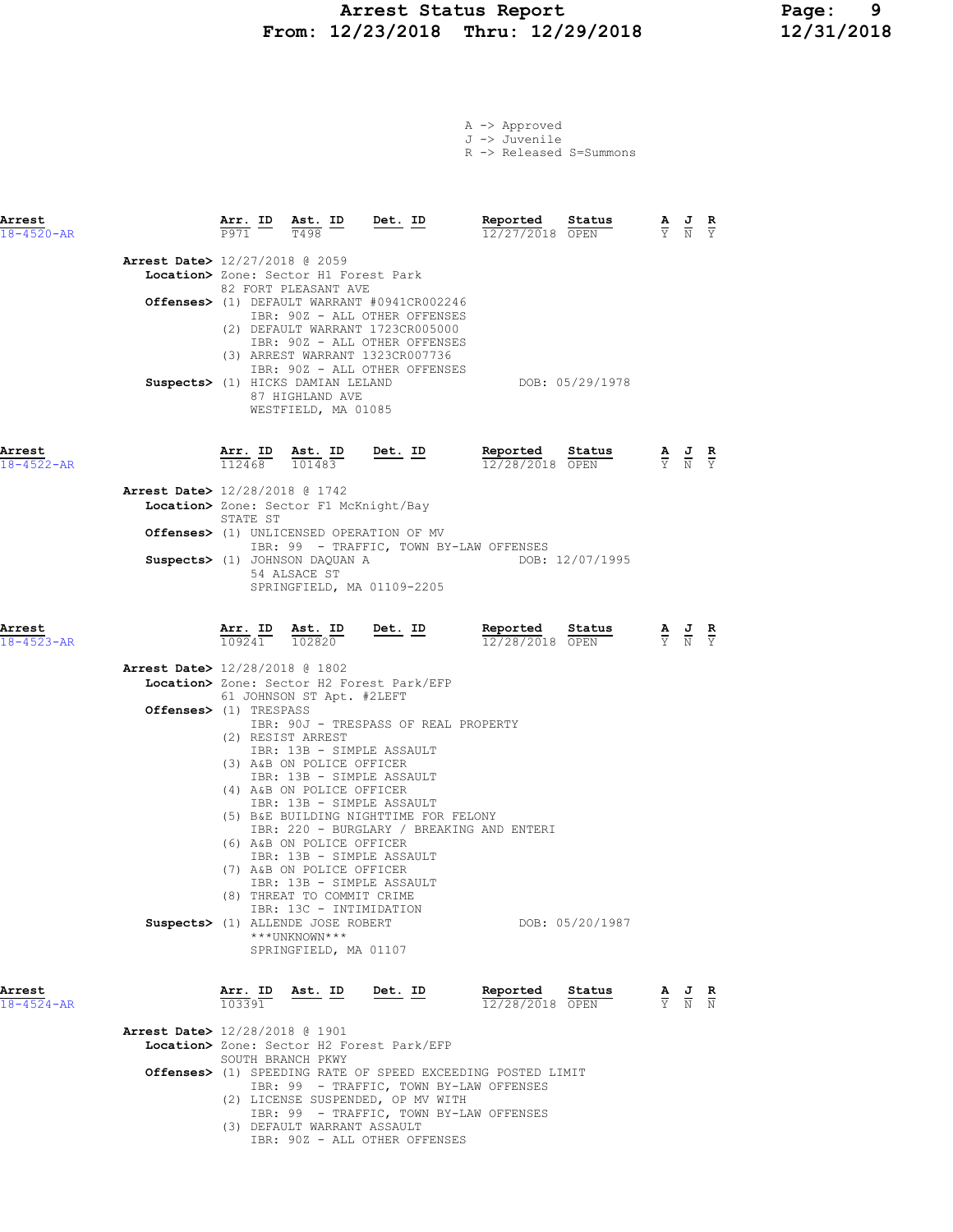## Arrest Status Report Page: 9 From: 12/23/2018 Thru: 12/29/2018

|  | A -> Approved |  |
|--|---------------|--|
|  | J -> Juvenile |  |

R -> Released S=Summons

| Arrest<br>$18 - 4520 - AR$ |                                          |                     | $\frac{\texttt{Arr.}}{\texttt{P971}}$ ID $\frac{\texttt{ Ast.}}{\texttt{T498}}$ ID                                                                                | <u>Det.</u> ID                                                                                                                                                                       | Reported<br>12/27/2018 OPEN                                                                                      | Status          | $\frac{\mathbf{A}}{\mathbf{Y}}$ $\frac{\mathbf{J}}{\mathbf{N}}$ $\frac{\mathbf{R}}{\mathbf{Y}}$ |                                                                                                 |  |
|----------------------------|------------------------------------------|---------------------|-------------------------------------------------------------------------------------------------------------------------------------------------------------------|--------------------------------------------------------------------------------------------------------------------------------------------------------------------------------------|------------------------------------------------------------------------------------------------------------------|-----------------|-------------------------------------------------------------------------------------------------|-------------------------------------------------------------------------------------------------|--|
|                            | <b>Arrest Date&gt;</b> 12/27/2018 @ 2059 |                     | Location> Zone: Sector H1 Forest Park<br>82 FORT PLEASANT AVE                                                                                                     | Offenses> (1) DEFAULT WARRANT #0941CR002246<br>IBR: 90Z - ALL OTHER OFFENSES<br>(2) DEFAULT WARRANT 1723CR005000<br>IBR: 90Z - ALL OTHER OFFENSES<br>(3) ARREST WARRANT 1323CR007736 |                                                                                                                  |                 |                                                                                                 |                                                                                                 |  |
|                            |                                          |                     | Suspects> (1) HICKS DAMIAN LELAND<br>87 HIGHLAND AVE<br>WESTFIELD, MA 01085                                                                                       | IBR: 90Z - ALL OTHER OFFENSES                                                                                                                                                        |                                                                                                                  | DOB: 05/29/1978 |                                                                                                 |                                                                                                 |  |
| Arrest<br>$18 - 4522 - AR$ |                                          | $Arr.$ ID<br>112468 | Ast. ID<br>101483                                                                                                                                                 | $Det. ID$                                                                                                                                                                            | Reported<br>12/28/2018 OPEN                                                                                      | Status          |                                                                                                 | $\frac{\mathbf{A}}{\mathbf{Y}}$ $\frac{\mathbf{J}}{\mathbf{N}}$ $\frac{\mathbf{R}}{\mathbf{Y}}$ |  |
|                            | Arrest Date> 12/28/2018 @ 1742           | STATE ST            | Location> Zone: Sector F1 McKnight/Bay                                                                                                                            |                                                                                                                                                                                      |                                                                                                                  |                 |                                                                                                 |                                                                                                 |  |
|                            |                                          |                     |                                                                                                                                                                   | <b>Offenses&gt;</b> (1) UNLICENSED OPERATION OF MV                                                                                                                                   | IBR: 99 - TRAFFIC, TOWN BY-LAW OFFENSES                                                                          |                 |                                                                                                 |                                                                                                 |  |
|                            |                                          |                     | Suspects> (1) JOHNSON DAQUAN A<br>54 ALSACE ST                                                                                                                    | SPRINGFIELD, MA 01109-2205                                                                                                                                                           |                                                                                                                  | DOB: 12/07/1995 |                                                                                                 |                                                                                                 |  |
| Arrest<br>$18 - 4523 - AR$ |                                          | 109241              | 102820                                                                                                                                                            | Arr. ID Ast. ID Det. ID                                                                                                                                                              | Reported Status<br>12/28/2018 OPEN                                                                               |                 |                                                                                                 | $\frac{\mathbf{A}}{\mathbf{Y}}$ $\frac{\mathbf{J}}{\mathbf{N}}$ $\frac{\mathbf{R}}{\mathbf{Y}}$ |  |
|                            | Arrest Date> 12/28/2018 @ 1802           |                     |                                                                                                                                                                   | Location> Zone: Sector H2 Forest Park/EFP                                                                                                                                            |                                                                                                                  |                 |                                                                                                 |                                                                                                 |  |
|                            | <b>Offenses&gt;</b> (1) TRESPASS         |                     | 61 JOHNSON ST Apt. #2LEFT<br>(2) RESIST ARREST<br>IBR: 13B - SIMPLE ASSAULT<br>(3) A&B ON POLICE OFFICER<br>IBR: 13B - SIMPLE ASSAULT                             | IBR: 90J - TRESPASS OF REAL PROPERTY                                                                                                                                                 |                                                                                                                  |                 |                                                                                                 |                                                                                                 |  |
|                            |                                          |                     | (4) A&B ON POLICE OFFICER<br>IBR: 13B - SIMPLE ASSAULT<br>(6) A&B ON POLICE OFFICER<br>IBR: 13B - SIMPLE ASSAULT<br>(7) A&B ON POLICE OFFICER                     | (5) B&E BUILDING NIGHTTIME FOR FELONY                                                                                                                                                | IBR: 220 - BURGLARY / BREAKING AND ENTERI                                                                        |                 |                                                                                                 |                                                                                                 |  |
|                            |                                          |                     | IBR: 13B - SIMPLE ASSAULT<br>(8) THREAT TO COMMIT CRIME<br>IBR: 13C - INTIMIDATION<br>Suspects> (1) ALLENDE JOSE ROBERT<br>***UNKNOWN***<br>SPRINGFIELD, MA 01107 |                                                                                                                                                                                      |                                                                                                                  | DOB: 05/20/1987 |                                                                                                 |                                                                                                 |  |
| Arrest<br>$18 - 4524 - AR$ |                                          | Arr. ID<br>103391   | Ast. ID                                                                                                                                                           | Det. ID                                                                                                                                                                              | Reported<br>12/28/2018 OPEN                                                                                      | Status          |                                                                                                 | $\frac{\mathbf{A}}{\mathbf{Y}}$ $\frac{\mathbf{J}}{\mathbf{N}}$ $\frac{\mathbf{R}}{\mathbf{N}}$ |  |
|                            | Arrest Date> 12/28/2018 @ 1901           |                     | SOUTH BRANCH PKWY                                                                                                                                                 | Location> Zone: Sector H2 Forest Park/EFP                                                                                                                                            |                                                                                                                  |                 |                                                                                                 |                                                                                                 |  |
|                            |                                          |                     |                                                                                                                                                                   | (2) LICENSE SUSPENDED, OP MV WITH                                                                                                                                                    | <b>Offenses&gt;</b> (1) SPEEDING RATE OF SPEED EXCEEDING POSTED LIMIT<br>IBR: 99 - TRAFFIC, TOWN BY-LAW OFFENSES |                 |                                                                                                 |                                                                                                 |  |

 IBR: 99 - TRAFFIC, TOWN BY-LAW OFFENSES (3) DEFAULT WARRANT ASSAULT IBR: 90Z - ALL OTHER OFFENSES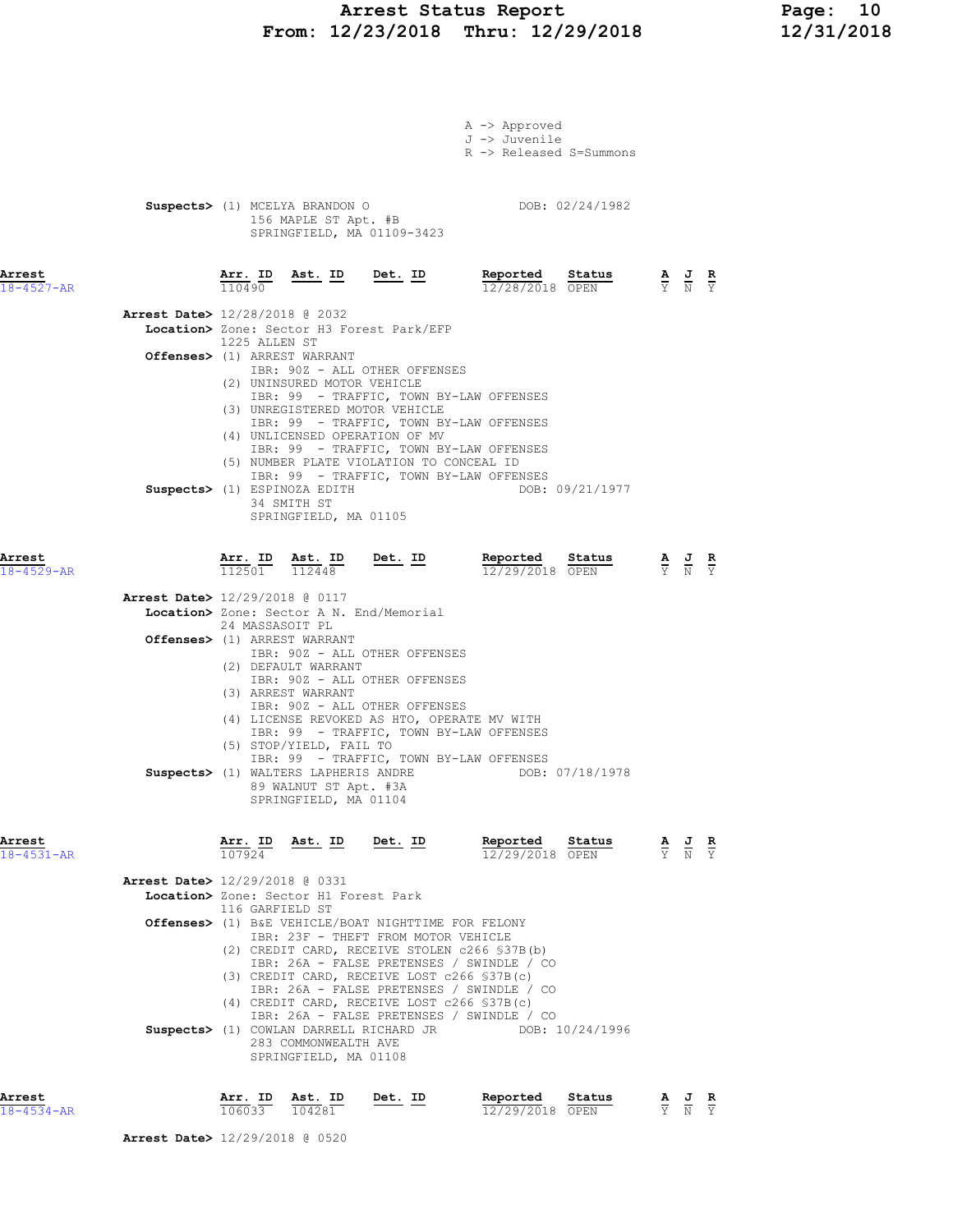# Arrest Status Report 10<br>12/23/2018 Thru: 12/29/2018 12/31/2018 From: 12/23/2018 Thru: 12/29/2018

|                            | A -> Approved<br>J -> Juvenile<br>R -> Released S=Summons                                                                                                                                                                                                                                                                                                    |                                                                                                 |
|----------------------------|--------------------------------------------------------------------------------------------------------------------------------------------------------------------------------------------------------------------------------------------------------------------------------------------------------------------------------------------------------------|-------------------------------------------------------------------------------------------------|
|                            | DOB: 02/24/1982<br>Suspects> (1) MCELYA BRANDON O<br>156 MAPLE ST Apt. #B<br>SPRINGFIELD, MA 01109-3423                                                                                                                                                                                                                                                      |                                                                                                 |
| Arrest<br>$18 - 4527 - AR$ | Arr. ID Ast. ID Det. ID<br>Reported Status<br>110490<br>12/28/2018 OPEN                                                                                                                                                                                                                                                                                      | $\frac{\mathbf{A}}{\mathbf{Y}}$ $\frac{\mathbf{J}}{\mathbf{N}}$ $\frac{\mathbf{R}}{\mathbf{Y}}$ |
|                            | <b>Arrest Date&gt;</b> 12/28/2018 @ 2032<br>Location> Zone: Sector H3 Forest Park/EFP                                                                                                                                                                                                                                                                        |                                                                                                 |
|                            | 1225 ALLEN ST<br>Offenses> (1) ARREST WARRANT                                                                                                                                                                                                                                                                                                                |                                                                                                 |
|                            | IBR: 90Z - ALL OTHER OFFENSES<br>(2) UNINSURED MOTOR VEHICLE<br>IBR: 99 - TRAFFIC, TOWN BY-LAW OFFENSES<br>(3) UNREGISTERED MOTOR VEHICLE<br>IBR: 99 - TRAFFIC, TOWN BY-LAW OFFENSES                                                                                                                                                                         |                                                                                                 |
|                            | (4) UNLICENSED OPERATION OF MV<br>IBR: 99 - TRAFFIC, TOWN BY-LAW OFFENSES<br>(5) NUMBER PLATE VIOLATION TO CONCEAL ID                                                                                                                                                                                                                                        |                                                                                                 |
|                            | IBR: 99 - TRAFFIC, TOWN BY-LAW OFFENSES<br>Suspects> (1) ESPINOZA EDITH<br>DOB: 09/21/1977<br>34 SMITH ST<br>SPRINGFIELD, MA 01105                                                                                                                                                                                                                           |                                                                                                 |
| Arrest<br>$18 - 4529 - AR$ | Reported Status<br>$\frac{\texttt{Arr. ID}}{112501}$ $\frac{\texttt{ Ast. ID}}{112448}$ $\frac{\texttt{Det. ID}}{12448}$<br>12/29/2018 OPEN                                                                                                                                                                                                                  | $\frac{\mathbf{A}}{\mathbf{Y}}$ $\frac{\mathbf{J}}{\mathbf{N}}$ $\frac{\mathbf{R}}{\mathbf{Y}}$ |
|                            | Arrest Date> 12/29/2018 @ 0117                                                                                                                                                                                                                                                                                                                               |                                                                                                 |
|                            | Location> Zone: Sector A N. End/Memorial<br>24 MASSASOIT PL<br>Offenses> (1) ARREST WARRANT<br>IBR: 90Z - ALL OTHER OFFENSES                                                                                                                                                                                                                                 |                                                                                                 |
|                            | (2) DEFAULT WARRANT<br>IBR: 90Z - ALL OTHER OFFENSES<br>(3) ARREST WARRANT<br>IBR: 90Z - ALL OTHER OFFENSES<br>(4) LICENSE REVOKED AS HTO, OPERATE MV WITH<br>IBR: 99 - TRAFFIC, TOWN BY-LAW OFFENSES<br>(5) STOP/YIELD, FAIL TO<br>IBR: 99 - TRAFFIC, TOWN BY-LAW OFFENSES<br>Suspects> (1) WALTERS LAPHERIS ANDRE DOB: 07/18/1978<br>89 WALNUT ST Apt. #3A |                                                                                                 |
| Arrest<br>$18 - 4531 - AR$ | SPRINGFIELD, MA 01104<br>$\frac{\texttt{Arr.}}{107924}$ Ast. ID Det. ID<br>Reported<br>Status<br>12/29/2018 OPEN                                                                                                                                                                                                                                             | $\frac{\mathbf{A}}{\mathbf{Y}}$ $\frac{\mathbf{J}}{\mathbf{N}}$ $\frac{\mathbf{R}}{\mathbf{Y}}$ |
|                            | Arrest Date> 12/29/2018 @ 0331<br>Location> Zone: Sector H1 Forest Park                                                                                                                                                                                                                                                                                      |                                                                                                 |
|                            | 116 GARFIELD ST<br>Offenses> (1) B&E VEHICLE/BOAT NIGHTTIME FOR FELONY                                                                                                                                                                                                                                                                                       |                                                                                                 |
|                            | IBR: 23F - THEFT FROM MOTOR VEHICLE<br>(2) CREDIT CARD, RECEIVE STOLEN c266 \$37B(b)<br>IBR: 26A - FALSE PRETENSES / SWINDLE / CO<br>(3) CREDIT CARD, RECEIVE LOST c266 \$37B(c)<br>IBR: 26A - FALSE PRETENSES / SWINDLE / CO<br>(4) CREDIT CARD, RECEIVE LOST c266 \$37B(c)<br>IBR: 26A - FALSE PRETENSES / SWINDLE / CO                                    |                                                                                                 |

| Arrest           | Arr. ID Ast. ID | Det. ID | Reported        | Status | AJR   |  |
|------------------|-----------------|---------|-----------------|--------|-------|--|
| $18 - 4534 - AR$ | 106033 104281   |         | 12/29/2018 OPEN |        | Y N Y |  |

SPRINGFIELD, MA 01108

Arrest Date> 12/29/2018 @ 0520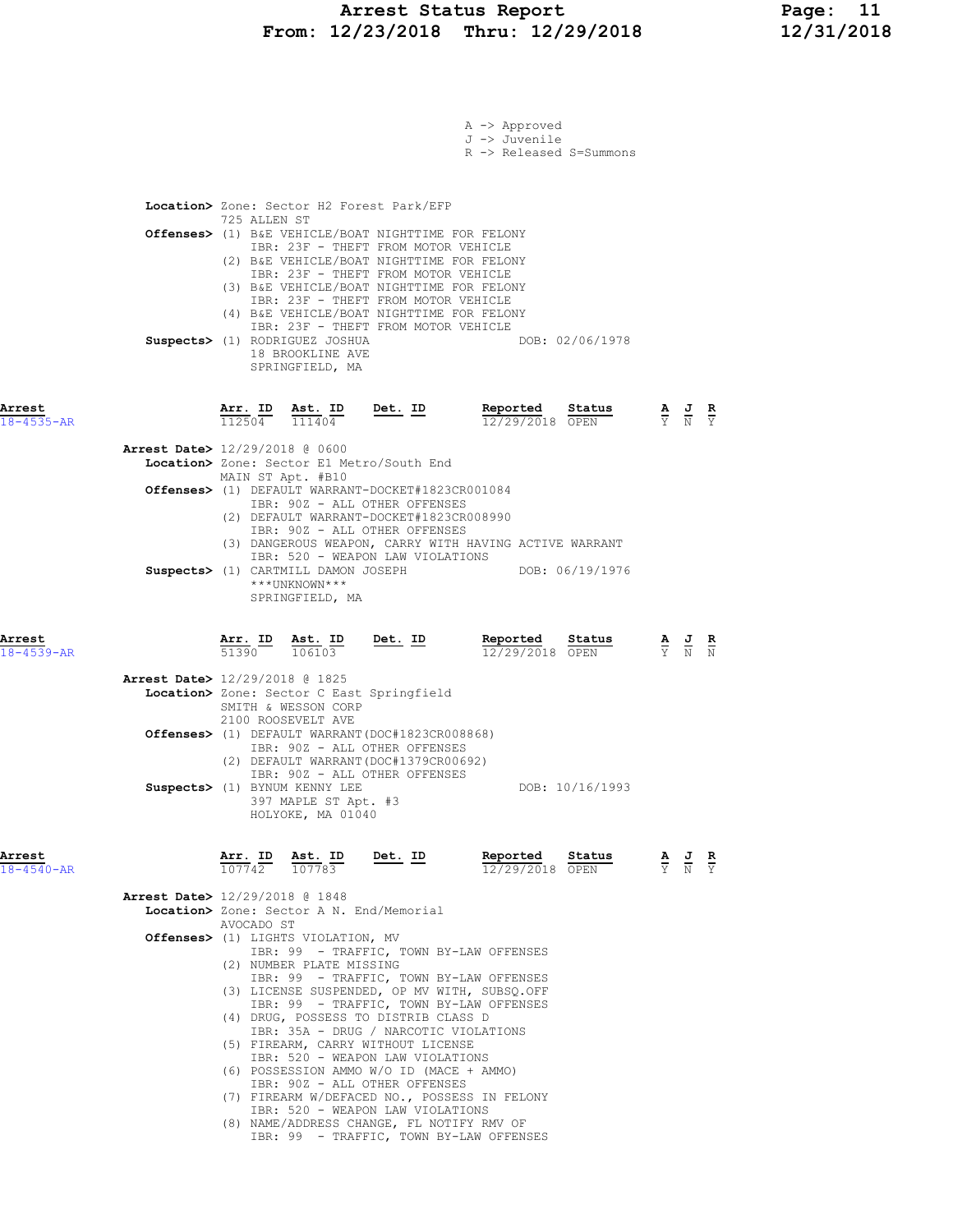|                                          |              |                                                               |                                                                                            | A -> Approved                                                                           |                 |                                                                                                 |  |
|------------------------------------------|--------------|---------------------------------------------------------------|--------------------------------------------------------------------------------------------|-----------------------------------------------------------------------------------------|-----------------|-------------------------------------------------------------------------------------------------|--|
|                                          |              |                                                               |                                                                                            | J -> Juvenile<br>R -> Released S=Summons                                                |                 |                                                                                                 |  |
|                                          |              |                                                               |                                                                                            |                                                                                         |                 |                                                                                                 |  |
|                                          |              |                                                               |                                                                                            |                                                                                         |                 |                                                                                                 |  |
|                                          | 725 ALLEN ST |                                                               | Location> Zone: Sector H2 Forest Park/EFP                                                  |                                                                                         |                 |                                                                                                 |  |
|                                          |              |                                                               | Offenses> (1) B&E VEHICLE/BOAT NIGHTTIME FOR FELONY<br>IBR: 23F - THEFT FROM MOTOR VEHICLE |                                                                                         |                 |                                                                                                 |  |
|                                          |              |                                                               | (2) B&E VEHICLE/BOAT NIGHTTIME FOR FELONY                                                  |                                                                                         |                 |                                                                                                 |  |
|                                          |              |                                                               | IBR: 23F - THEFT FROM MOTOR VEHICLE<br>(3) B&E VEHICLE/BOAT NIGHTTIME FOR FELONY           |                                                                                         |                 |                                                                                                 |  |
|                                          |              |                                                               | IBR: 23F - THEFT FROM MOTOR VEHICLE<br>(4) B&E VEHICLE/BOAT NIGHTTIME FOR FELONY           |                                                                                         |                 |                                                                                                 |  |
|                                          |              |                                                               | IBR: 23F - THEFT FROM MOTOR VEHICLE                                                        |                                                                                         |                 |                                                                                                 |  |
|                                          |              | Suspects> (1) RODRIGUEZ JOSHUA<br>18 BROOKLINE AVE            |                                                                                            |                                                                                         | DOB: 02/06/1978 |                                                                                                 |  |
|                                          |              | SPRINGFIELD, MA                                               |                                                                                            |                                                                                         |                 |                                                                                                 |  |
|                                          |              |                                                               |                                                                                            |                                                                                         |                 |                                                                                                 |  |
| Arrest<br>$18 - 4535 - AR$               |              | $\frac{\texttt{Arr.}}{112504}$ $\frac{\texttt{Ast.}}{111404}$ | <u>Det. ID</u>                                                                             | Reported<br>12/29/2018 OPEN                                                             | Status          | $\frac{\mathbf{A}}{\mathbf{Y}}$ $\frac{\mathbf{J}}{\mathbf{N}}$ $\frac{\mathbf{R}}{\mathbf{Y}}$ |  |
| Arrest Date> 12/29/2018 @ 0600           |              |                                                               |                                                                                            |                                                                                         |                 |                                                                                                 |  |
|                                          |              |                                                               | Location> Zone: Sector E1 Metro/South End                                                  |                                                                                         |                 |                                                                                                 |  |
|                                          |              | MAIN ST Apt. #B10                                             | Offenses> (1) DEFAULT WARRANT-DOCKET#1823CR001084                                          |                                                                                         |                 |                                                                                                 |  |
|                                          |              |                                                               | IBR: 90Z - ALL OTHER OFFENSES                                                              |                                                                                         |                 |                                                                                                 |  |
|                                          |              |                                                               | (2) DEFAULT WARRANT-DOCKET#1823CR008990<br>IBR: 90Z - ALL OTHER OFFENSES                   |                                                                                         |                 |                                                                                                 |  |
|                                          |              |                                                               | IBR: 520 - WEAPON LAW VIOLATIONS                                                           | (3) DANGEROUS WEAPON, CARRY WITH HAVING ACTIVE WARRANT                                  |                 |                                                                                                 |  |
|                                          |              | Suspects> (1) CARTMILL DAMON JOSEPH<br>***UNKNOWN***          |                                                                                            | DOB: 06/19/1976                                                                         |                 |                                                                                                 |  |
|                                          |              | SPRINGFIELD, MA                                               |                                                                                            |                                                                                         |                 |                                                                                                 |  |
|                                          |              |                                                               |                                                                                            |                                                                                         |                 |                                                                                                 |  |
| Arrest<br>$18 - 4539 - AR$               |              |                                                               | $\frac{\texttt{Arr. ID}}{51390}$ $\frac{\texttt{ Ast. ID}}{106103}$ Det. ID                | Reported Status<br>12/29/2018 OPEN                                                      |                 | $\frac{\mathbf{A}}{\mathbf{Y}}$ $\frac{\mathbf{J}}{\mathbf{N}}$ $\frac{\mathbf{R}}{\mathbf{N}}$ |  |
|                                          |              |                                                               |                                                                                            |                                                                                         |                 |                                                                                                 |  |
| Arrest Date> 12/29/2018 @ 1825           |              |                                                               | Location> Zone: Sector C East Springfield                                                  |                                                                                         |                 |                                                                                                 |  |
|                                          |              | SMITH & WESSON CORP                                           |                                                                                            |                                                                                         |                 |                                                                                                 |  |
|                                          |              | 2100 ROOSEVELT AVE                                            | <b>Offenses&gt;</b> (1) DEFAULT WARRANT(DOC#1823CR008868)                                  |                                                                                         |                 |                                                                                                 |  |
|                                          |              |                                                               | IBR: 90Z - ALL OTHER OFFENSES<br>(2) DEFAULT WARRANT (DOC#1379CR00692)                     |                                                                                         |                 |                                                                                                 |  |
|                                          |              |                                                               | IBR: 90Z - ALL OTHER OFFENSES                                                              |                                                                                         |                 |                                                                                                 |  |
|                                          |              | Suspects> (1) BYNUM KENNY LEE<br>397 MAPLE ST Apt. #3         |                                                                                            |                                                                                         | DOB: 10/16/1993 |                                                                                                 |  |
|                                          |              | HOLYOKE, MA 01040                                             |                                                                                            |                                                                                         |                 |                                                                                                 |  |
|                                          |              |                                                               |                                                                                            |                                                                                         |                 |                                                                                                 |  |
| Arrest<br>$18 - 4540 - AR$               |              | $\frac{\texttt{Arr.}}{107742}$ $\frac{\texttt{Ab.}}{107783}$  | <u>Det. ID</u>                                                                             | Reported Status<br>12/29/2018 OPEN                                                      |                 | $\frac{\mathbf{A}}{\mathbf{Y}}$ $\frac{\mathbf{J}}{\mathbf{N}}$ $\frac{\mathbf{R}}{\mathbf{Y}}$ |  |
| <b>Arrest Date&gt;</b> 12/29/2018 @ 1848 |              |                                                               |                                                                                            |                                                                                         |                 |                                                                                                 |  |
|                                          |              |                                                               | Location> Zone: Sector A N. End/Memorial                                                   |                                                                                         |                 |                                                                                                 |  |
|                                          | AVOCADO ST   | Offenses> (1) LIGHTS VIOLATION, MV                            |                                                                                            |                                                                                         |                 |                                                                                                 |  |
|                                          |              | (2) NUMBER PLATE MISSING                                      |                                                                                            | IBR: 99 - TRAFFIC, TOWN BY-LAW OFFENSES                                                 |                 |                                                                                                 |  |
|                                          |              |                                                               |                                                                                            | IBR: 99 - TRAFFIC, TOWN BY-LAW OFFENSES                                                 |                 |                                                                                                 |  |
|                                          |              |                                                               |                                                                                            | (3) LICENSE SUSPENDED, OP MV WITH, SUBSQ.OFF<br>IBR: 99 - TRAFFIC, TOWN BY-LAW OFFENSES |                 |                                                                                                 |  |
|                                          |              |                                                               | (4) DRUG, POSSESS TO DISTRIB CLASS D<br>IBR: 35A - DRUG / NARCOTIC VIOLATIONS              |                                                                                         |                 |                                                                                                 |  |
|                                          |              |                                                               | (5) FIREARM, CARRY WITHOUT LICENSE                                                         |                                                                                         |                 |                                                                                                 |  |
|                                          |              |                                                               | IBR: 520 - WEAPON LAW VIOLATIONS<br>(6) POSSESSION AMMO W/O ID (MACE + AMMO)               |                                                                                         |                 |                                                                                                 |  |
|                                          |              |                                                               | IBR: 90Z - ALL OTHER OFFENSES                                                              | (7) FIREARM W/DEFACED NO., POSSESS IN FELONY                                            |                 |                                                                                                 |  |
|                                          |              |                                                               | IBR: 520 - WEAPON LAW VIOLATIONS                                                           |                                                                                         |                 |                                                                                                 |  |
|                                          |              |                                                               | (8) NAME/ADDRESS CHANGE, FL NOTIFY RMV OF                                                  | IBR: 99 - TRAFFIC, TOWN BY-LAW OFFENSES                                                 |                 |                                                                                                 |  |
|                                          |              |                                                               |                                                                                            |                                                                                         |                 |                                                                                                 |  |